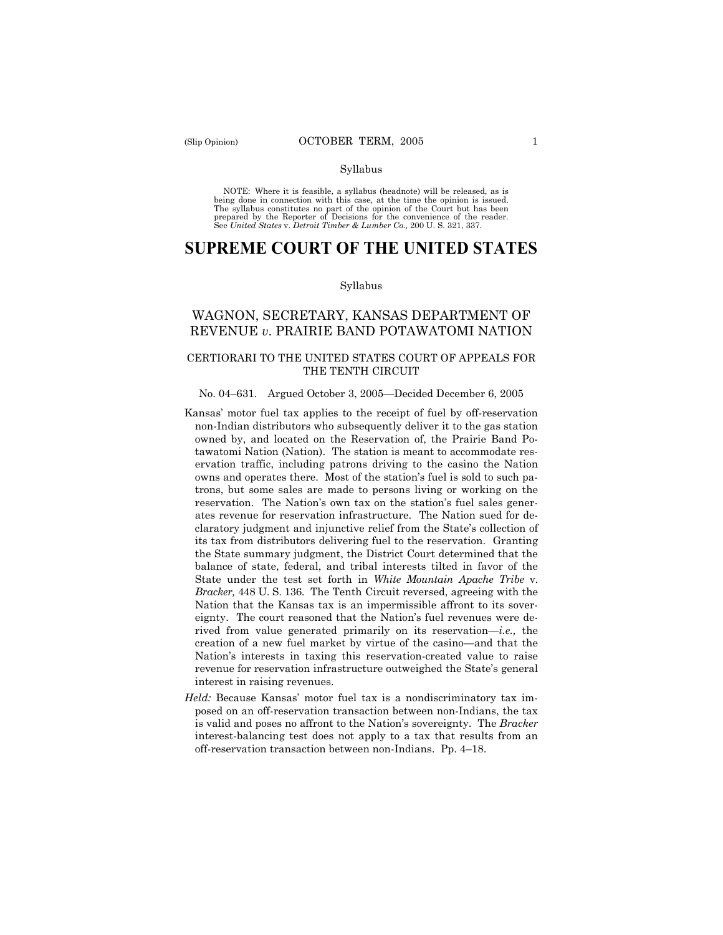#### Syllabus

NOTE: Where it is feasible, a syllabus (headnote) will be released, as is being done in connection with this case, at the time the opinion is issued. The syllabus constitutes no part of the opinion of the Court but has been<br>prepared by the Reporter of Decisions for the convenience of the reader.<br>See United States v. Detroit Timber & Lumber Co., 200 U. S. 321, 337.

# **SUPREME COURT OF THE UNITED STATES**

#### Syllabus

# WAGNON, SECRETARY, KANSAS DEPARTMENT OF REVENUE *v*. PRAIRIE BAND POTAWATOMI NATION

# CERTIORARI TO THE UNITED STATES COURT OF APPEALS FOR THE TENTH CIRCUIT

#### No. 04–631. Argued October 3, 2005—Decided December 6, 2005

- Kansas' motor fuel tax applies to the receipt of fuel by off-reservation non-Indian distributors who subsequently deliver it to the gas station owned by, and located on the Reservation of, the Prairie Band Potawatomi Nation (Nation). The station is meant to accommodate reservation traffic, including patrons driving to the casino the Nation owns and operates there. Most of the station's fuel is sold to such patrons, but some sales are made to persons living or working on the reservation. The Nation's own tax on the station's fuel sales generates revenue for reservation infrastructure. The Nation sued for declaratory judgment and injunctive relief from the State's collection of its tax from distributors delivering fuel to the reservation. Granting the State summary judgment, the District Court determined that the balance of state, federal, and tribal interests tilted in favor of the State under the test set forth in *White Mountain Apache Tribe* v. *Bracker,* 448 U. S. 136. The Tenth Circuit reversed, agreeing with the Nation that the Kansas tax is an impermissible affront to its sovereignty. The court reasoned that the Nation's fuel revenues were derived from value generated primarily on its reservation—*i.e.,* the creation of a new fuel market by virtue of the casino—and that the Nation's interests in taxing this reservation-created value to raise revenue for reservation infrastructure outweighed the State's general interest in raising revenues.
- *Held:* Because Kansas' motor fuel tax is a nondiscriminatory tax imposed on an off-reservation transaction between non-Indians, the tax is valid and poses no affront to the Nation's sovereignty. The *Bracker*  interest-balancing test does not apply to a tax that results from an off-reservation transaction between non-Indians. Pp. 4–18.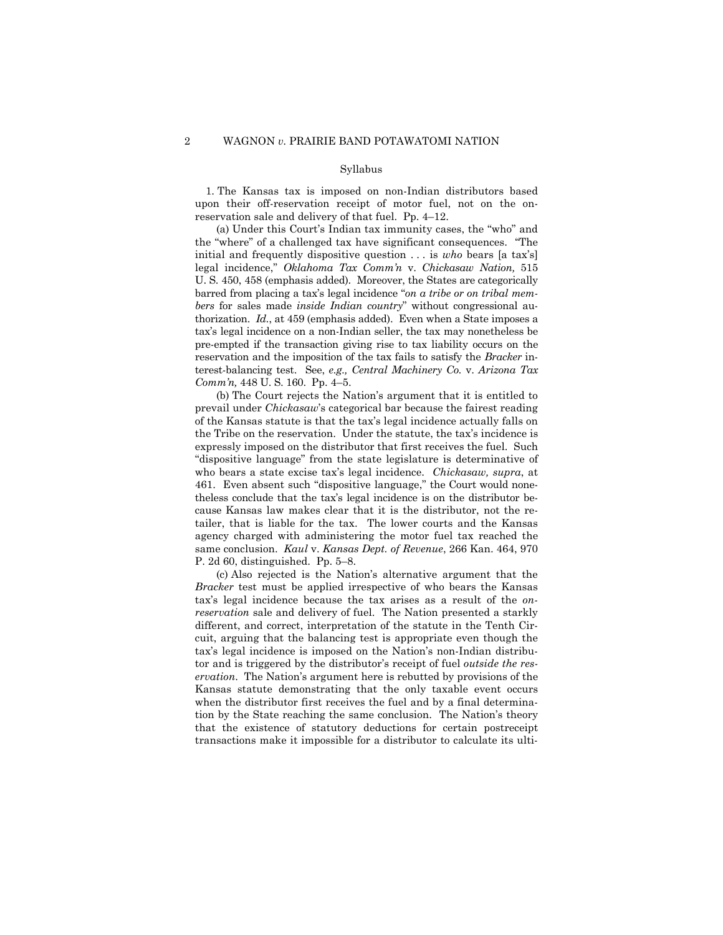#### Syllabus

1. The Kansas tax is imposed on non-Indian distributors based upon their off-reservation receipt of motor fuel, not on the onreservation sale and delivery of that fuel. Pp. 4–12.

(a) Under this Court's Indian tax immunity cases, the "who" and the "where" of a challenged tax have significant consequences. "The initial and frequently dispositive question . . . is *who* bears [a tax's] legal incidence," *Oklahoma Tax Comm'n* v. *Chickasaw Nation,* 515 U. S. 450, 458 (emphasis added). Moreover, the States are categorically barred from placing a tax's legal incidence "*on a tribe or on tribal members* for sales made *inside Indian country*" without congressional authorization. *Id.*, at 459 (emphasis added). Even when a State imposes a tax's legal incidence on a non-Indian seller, the tax may nonetheless be pre-empted if the transaction giving rise to tax liability occurs on the reservation and the imposition of the tax fails to satisfy the *Bracker* interest-balancing test. See, *e.g., Central Machinery Co.* v. *Arizona Tax Comm'n,* 448 U. S. 160. Pp. 4–5.

(b) The Court rejects the Nation's argument that it is entitled to prevail under *Chickasaw*'s categorical bar because the fairest reading of the Kansas statute is that the tax's legal incidence actually falls on the Tribe on the reservation. Under the statute, the tax's incidence is expressly imposed on the distributor that first receives the fuel. Such "dispositive language" from the state legislature is determinative of who bears a state excise tax's legal incidence. *Chickasaw, supra*, at 461. Even absent such "dispositive language," the Court would nonetheless conclude that the tax's legal incidence is on the distributor because Kansas law makes clear that it is the distributor, not the retailer, that is liable for the tax. The lower courts and the Kansas agency charged with administering the motor fuel tax reached the same conclusion. *Kaul* v. *Kansas Dept. of Revenue*, 266 Kan. 464, 970 P. 2d 60, distinguished. Pp. 5–8.

(c) Also rejected is the Nation's alternative argument that the *Bracker* test must be applied irrespective of who bears the Kansas tax's legal incidence because the tax arises as a result of the *onreservation* sale and delivery of fuel. The Nation presented a starkly different, and correct, interpretation of the statute in the Tenth Circuit, arguing that the balancing test is appropriate even though the tax's legal incidence is imposed on the Nation's non-Indian distributor and is triggered by the distributor's receipt of fuel *outside the reservation*. The Nation's argument here is rebutted by provisions of the Kansas statute demonstrating that the only taxable event occurs when the distributor first receives the fuel and by a final determination by the State reaching the same conclusion. The Nation's theory that the existence of statutory deductions for certain postreceipt transactions make it impossible for a distributor to calculate its ulti-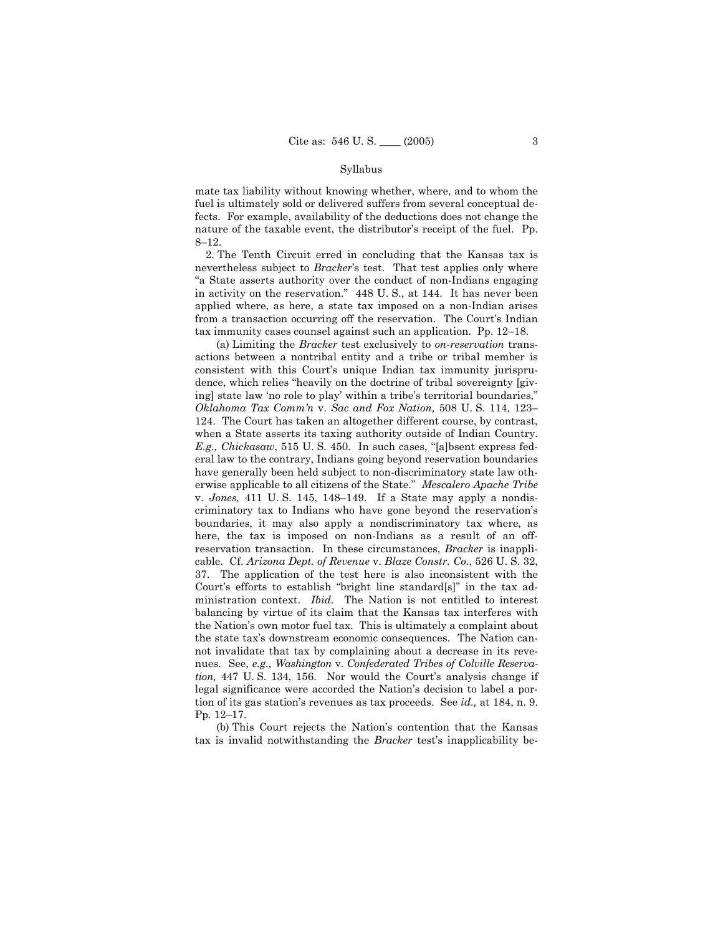#### Syllabus

mate tax liability without knowing whether, where, and to whom the fuel is ultimately sold or delivered suffers from several conceptual defects. For example, availability of the deductions does not change the nature of the taxable event, the distributor's receipt of the fuel. Pp. 8–12.

2. The Tenth Circuit erred in concluding that the Kansas tax is nevertheless subject to *Bracker*'s test. That test applies only where "a State asserts authority over the conduct of non-Indians engaging in activity on the reservation." 448 U. S., at 144. It has never been applied where, as here, a state tax imposed on a non-Indian arises from a transaction occurring off the reservation. The Court's Indian tax immunity cases counsel against such an application. Pp. 12–18.

(a) Limiting the *Bracker* test exclusively to *on-reservation* transactions between a nontribal entity and a tribe or tribal member is consistent with this Court's unique Indian tax immunity jurisprudence, which relies "heavily on the doctrine of tribal sovereignty [giving] state law 'no role to play' within a tribe's territorial boundaries," *Oklahoma Tax Comm'n* v. *Sac and Fox Nation,* 508 U. S. 114, 123– 124. The Court has taken an altogether different course, by contrast, when a State asserts its taxing authority outside of Indian Country. *E.g., Chickasaw*, 515 U. S. 450. In such cases, "[a]bsent express federal law to the contrary, Indians going beyond reservation boundaries have generally been held subject to non-discriminatory state law otherwise applicable to all citizens of the State." *Mescalero Apache Tribe*  v. *Jones,* 411 U. S. 145, 148–149. If a State may apply a nondiscriminatory tax to Indians who have gone beyond the reservation's boundaries, it may also apply a nondiscriminatory tax where, as here, the tax is imposed on non-Indians as a result of an offreservation transaction. In these circumstances, *Bracker* is inapplicable. Cf. *Arizona Dept. of Revenue* v. *Blaze Constr. Co.*, 526 U. S. 32, 37. The application of the test here is also inconsistent with the Court's efforts to establish "bright line standard[s]" in the tax administration context. *Ibid.* The Nation is not entitled to interest balancing by virtue of its claim that the Kansas tax interferes with the Nation's own motor fuel tax. This is ultimately a complaint about the state tax's downstream economic consequences. The Nation cannot invalidate that tax by complaining about a decrease in its revenues. See, *e.g., Washington* v. *Confederated Tribes of Colville Reservation,* 447 U. S. 134, 156. Nor would the Court's analysis change if legal significance were accorded the Nation's decision to label a portion of its gas station's revenues as tax proceeds. See *id.,* at 184, n. 9. Pp. 12–17.

(b) This Court rejects the Nation's contention that the Kansas tax is invalid notwithstanding the *Bracker* test's inapplicability be-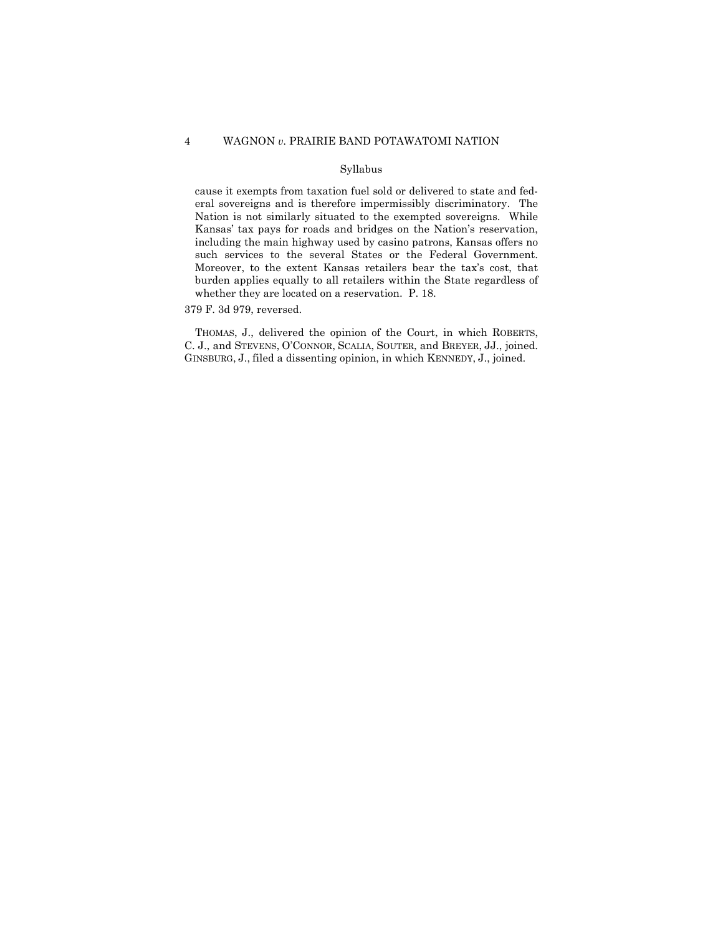# 4 WAGNON *v.* PRAIRIE BAND POTAWATOMI NATION

# Syllabus

cause it exempts from taxation fuel sold or delivered to state and federal sovereigns and is therefore impermissibly discriminatory. The Nation is not similarly situated to the exempted sovereigns. While Kansas' tax pays for roads and bridges on the Nation's reservation, including the main highway used by casino patrons, Kansas offers no such services to the several States or the Federal Government. Moreover, to the extent Kansas retailers bear the tax's cost, that burden applies equally to all retailers within the State regardless of whether they are located on a reservation. P. 18.

379 F. 3d 979, reversed.

THOMAS, J., delivered the opinion of the Court, in which ROBERTS, C. J., and STEVENS, O'CONNOR, SCALIA, SOUTER, and BREYER, JJ., joined. GINSBURG, J., filed a dissenting opinion, in which KENNEDY, J., joined.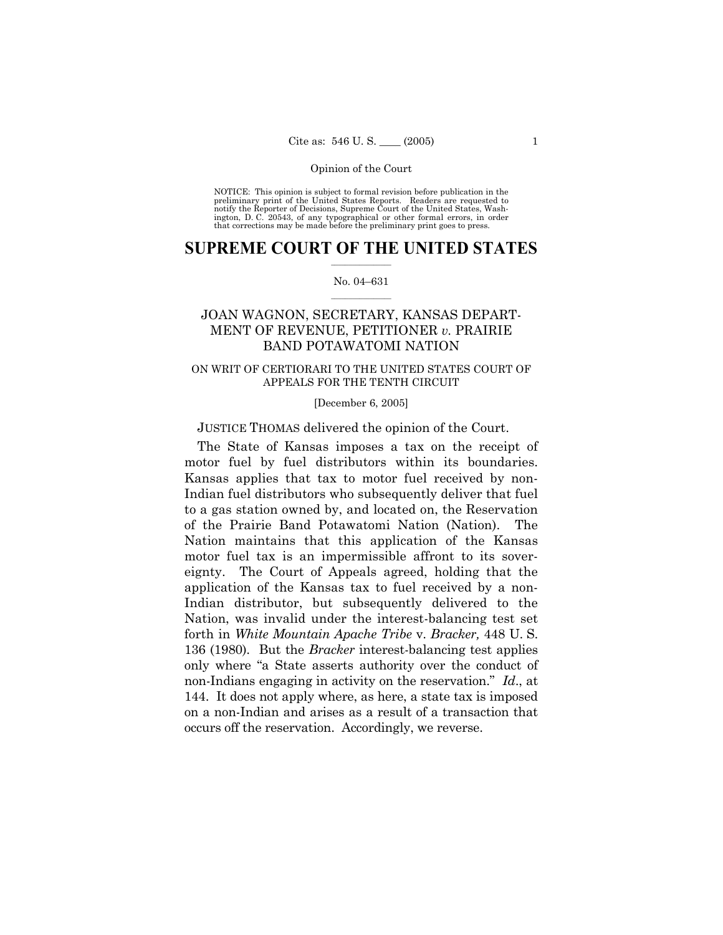NOTICE: This opinion is subject to formal revision before publication in the preliminary print of the United States Reports. Readers are requested to notify the Reporter of Decisions, Supreme Court of the United States, Washington, D. C. 20543, of any typographical or other formal errors, in order that corrections may be made before the preliminary print goes to press.

# $\frac{1}{2}$  ,  $\frac{1}{2}$  ,  $\frac{1}{2}$  ,  $\frac{1}{2}$  ,  $\frac{1}{2}$  ,  $\frac{1}{2}$  ,  $\frac{1}{2}$ **SUPREME COURT OF THE UNITED STATES**

# $\mathcal{L}=\mathcal{L}$ No. 04–631

# JOAN WAGNON, SECRETARY, KANSAS DEPART-MENT OF REVENUE, PETITIONER *v.* PRAIRIE BAND POTAWATOMI NATION

# ON WRIT OF CERTIORARI TO THE UNITED STATES COURT OF APPEALS FOR THE TENTH CIRCUIT

[December 6, 2005]

JUSTICE THOMAS delivered the opinion of the Court.

The State of Kansas imposes a tax on the receipt of motor fuel by fuel distributors within its boundaries. Kansas applies that tax to motor fuel received by non-Indian fuel distributors who subsequently deliver that fuel to a gas station owned by, and located on, the Reservation of the Prairie Band Potawatomi Nation (Nation). The Nation maintains that this application of the Kansas motor fuel tax is an impermissible affront to its sovereignty. The Court of Appeals agreed, holding that the application of the Kansas tax to fuel received by a non-Indian distributor, but subsequently delivered to the Nation, was invalid under the interest-balancing test set forth in *White Mountain Apache Tribe* v. *Bracker,* 448 U. S. 136 (1980). But the *Bracker* interest-balancing test applies only where "a State asserts authority over the conduct of non-Indians engaging in activity on the reservation." *Id*., at 144. It does not apply where, as here, a state tax is imposed on a non-Indian and arises as a result of a transaction that occurs off the reservation. Accordingly, we reverse.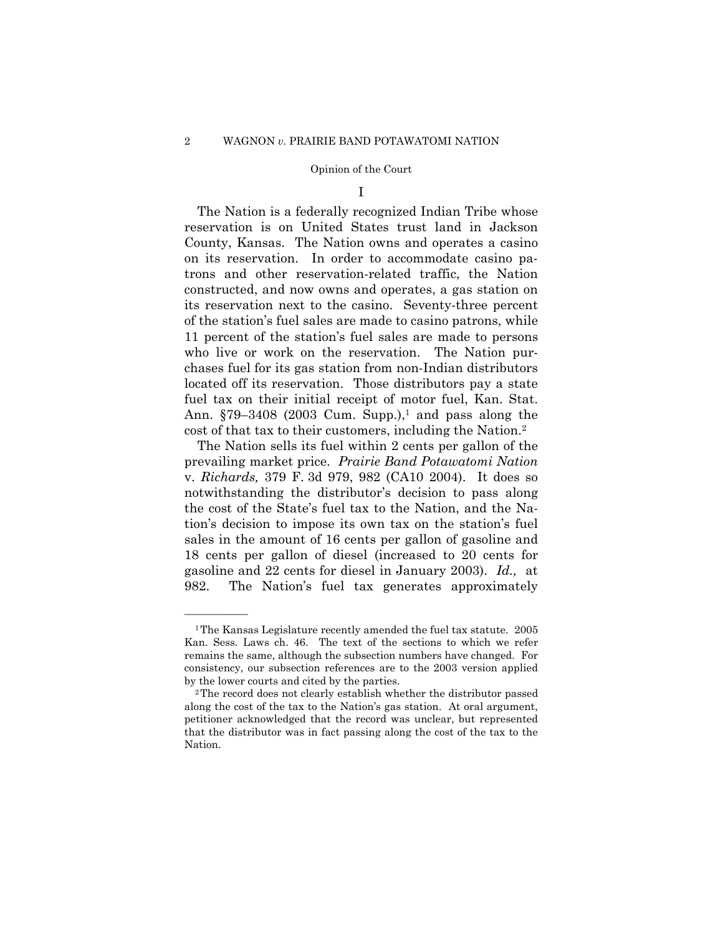I

The Nation is a federally recognized Indian Tribe whose reservation is on United States trust land in Jackson County, Kansas. The Nation owns and operates a casino on its reservation. In order to accommodate casino patrons and other reservation-related traffic, the Nation constructed, and now owns and operates, a gas station on its reservation next to the casino. Seventy-three percent of the station's fuel sales are made to casino patrons, while 11 percent of the station's fuel sales are made to persons who live or work on the reservation. The Nation purchases fuel for its gas station from non-Indian distributors located off its reservation. Those distributors pay a state fuel tax on their initial receipt of motor fuel, Kan. Stat. Ann.  $$79-3408$  (2003 Cum. Supp.),<sup>1</sup> and pass along the cost of that tax to their customers, including the Nation.2

The Nation sells its fuel within 2 cents per gallon of the prevailing market price. *Prairie Band Potawatomi Nation*  v. *Richards,* 379 F. 3d 979, 982 (CA10 2004). It does so notwithstanding the distributor's decision to pass along the cost of the State's fuel tax to the Nation, and the Nation's decision to impose its own tax on the station's fuel sales in the amount of 16 cents per gallon of gasoline and 18 cents per gallon of diesel (increased to 20 cents for gasoline and 22 cents for diesel in January 2003). *Id.,* at 982. The Nation's fuel tax generates approximately

<sup>1</sup>The Kansas Legislature recently amended the fuel tax statute. 2005 Kan. Sess. Laws ch. 46. The text of the sections to which we refer remains the same, although the subsection numbers have changed. For consistency, our subsection references are to the 2003 version applied by the lower courts and cited by the parties.<br><sup>2</sup>The record does not clearly establish whether the distributor passed

along the cost of the tax to the Nation's gas station. At oral argument, petitioner acknowledged that the record was unclear, but represented that the distributor was in fact passing along the cost of the tax to the Nation.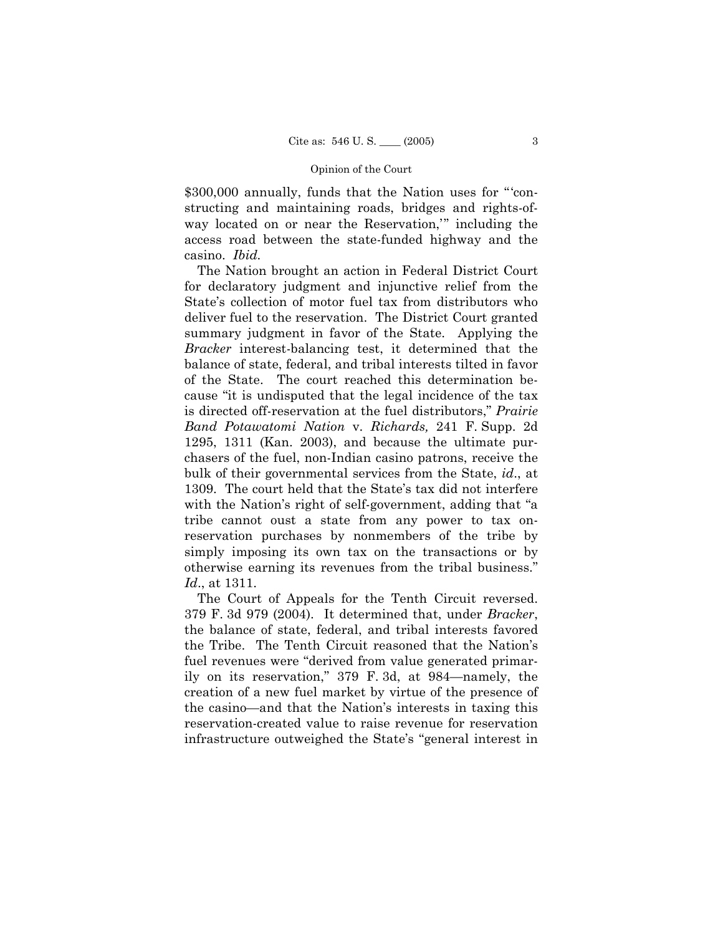\$300,000 annually, funds that the Nation uses for "'constructing and maintaining roads, bridges and rights-ofway located on or near the Reservation," including the access road between the state-funded highway and the casino. *Ibid.* 

The Nation brought an action in Federal District Court for declaratory judgment and injunctive relief from the State's collection of motor fuel tax from distributors who deliver fuel to the reservation. The District Court granted summary judgment in favor of the State. Applying the *Bracker* interest-balancing test, it determined that the balance of state, federal, and tribal interests tilted in favor of the State. The court reached this determination because "it is undisputed that the legal incidence of the tax is directed off-reservation at the fuel distributors," *Prairie Band Potawatomi Nation* v. *Richards,* 241 F. Supp. 2d 1295, 1311 (Kan. 2003), and because the ultimate purchasers of the fuel, non-Indian casino patrons, receive the bulk of their governmental services from the State, *id*., at 1309. The court held that the State's tax did not interfere with the Nation's right of self-government, adding that "a tribe cannot oust a state from any power to tax onreservation purchases by nonmembers of the tribe by simply imposing its own tax on the transactions or by otherwise earning its revenues from the tribal business." *Id*., at 1311.

The Court of Appeals for the Tenth Circuit reversed. 379 F. 3d 979 (2004). It determined that, under *Bracker*, the balance of state, federal, and tribal interests favored the Tribe. The Tenth Circuit reasoned that the Nation's fuel revenues were "derived from value generated primarily on its reservation," 379 F. 3d, at 984—namely, the creation of a new fuel market by virtue of the presence of the casino—and that the Nation's interests in taxing this reservation-created value to raise revenue for reservation infrastructure outweighed the State's "general interest in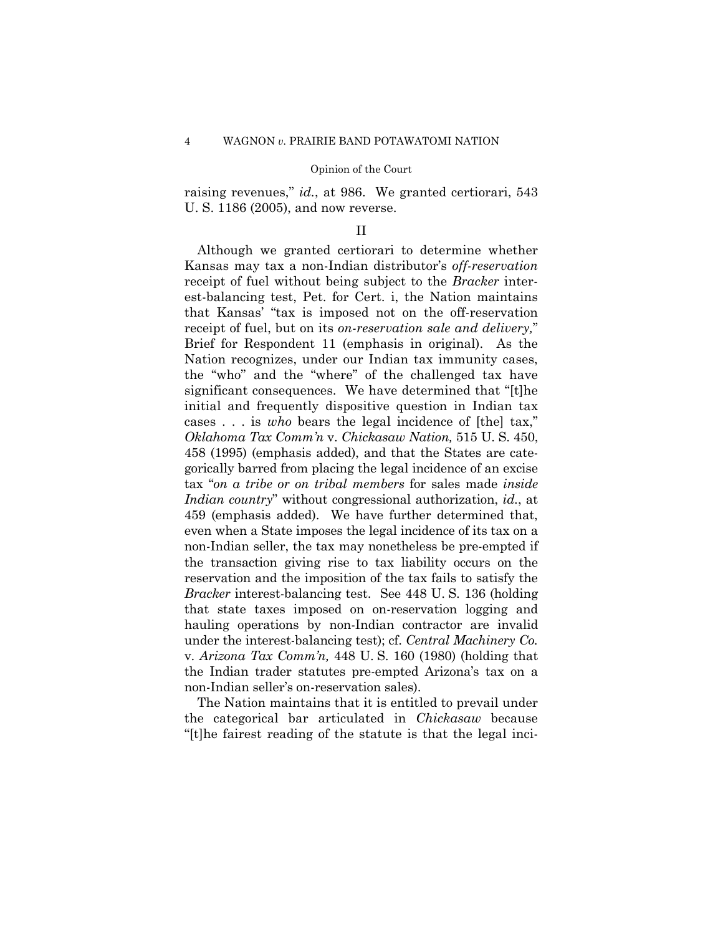raising revenues," *id.*, at 986. We granted certiorari, 543 U. S. 1186 (2005), and now reverse.

# II

Although we granted certiorari to determine whether Kansas may tax a non-Indian distributor's *off-reservation*  receipt of fuel without being subject to the *Bracker* interest-balancing test, Pet. for Cert. i, the Nation maintains that Kansas' "tax is imposed not on the off-reservation receipt of fuel, but on its *on-reservation sale and delivery,*" Brief for Respondent 11 (emphasis in original). As the Nation recognizes, under our Indian tax immunity cases, the "who" and the "where" of the challenged tax have significant consequences. We have determined that "[t]he initial and frequently dispositive question in Indian tax cases . . . is *who* bears the legal incidence of [the] tax," *Oklahoma Tax Comm'n* v. *Chickasaw Nation,* 515 U. S. 450, 458 (1995) (emphasis added), and that the States are categorically barred from placing the legal incidence of an excise tax "*on a tribe or on tribal members* for sales made *inside Indian country*" without congressional authorization, *id.*, at 459 (emphasis added). We have further determined that, even when a State imposes the legal incidence of its tax on a non-Indian seller, the tax may nonetheless be pre-empted if the transaction giving rise to tax liability occurs on the reservation and the imposition of the tax fails to satisfy the *Bracker* interest-balancing test. See 448 U. S. 136 (holding that state taxes imposed on on-reservation logging and hauling operations by non-Indian contractor are invalid under the interest-balancing test); cf. *Central Machinery Co.*  v. *Arizona Tax Comm'n,* 448 U. S. 160 (1980) (holding that the Indian trader statutes pre-empted Arizona's tax on a non-Indian seller's on-reservation sales).

The Nation maintains that it is entitled to prevail under the categorical bar articulated in *Chickasaw* because "[t]he fairest reading of the statute is that the legal inci-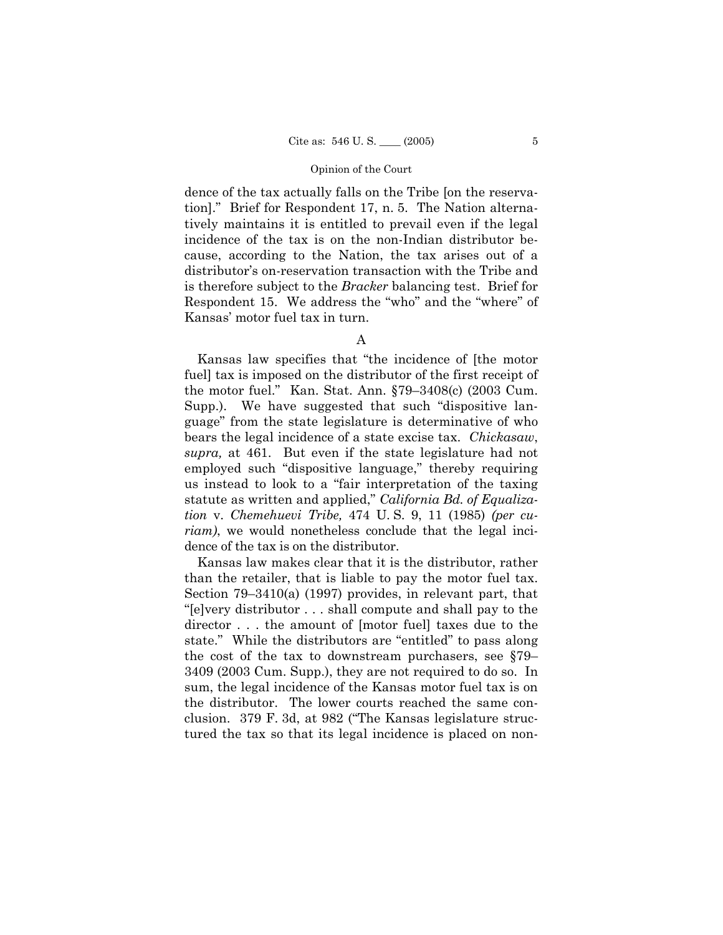dence of the tax actually falls on the Tribe [on the reservation]." Brief for Respondent 17, n. 5. The Nation alternatively maintains it is entitled to prevail even if the legal incidence of the tax is on the non-Indian distributor because, according to the Nation, the tax arises out of a distributor's on-reservation transaction with the Tribe and is therefore subject to the *Bracker* balancing test. Brief for Respondent 15. We address the "who" and the "where" of Kansas' motor fuel tax in turn.

Kansas law specifies that "the incidence of [the motor fuel] tax is imposed on the distributor of the first receipt of the motor fuel." Kan. Stat. Ann. §79–3408(c) (2003 Cum. Supp.). We have suggested that such "dispositive language" from the state legislature is determinative of who bears the legal incidence of a state excise tax. *Chickasaw*, *supra,* at 461. But even if the state legislature had not employed such "dispositive language," thereby requiring us instead to look to a "fair interpretation of the taxing statute as written and applied," *California Bd. of Equalization* v. *Chemehuevi Tribe,* 474 U. S. 9, 11 (1985) *(per curiam)*, we would nonetheless conclude that the legal incidence of the tax is on the distributor.

Kansas law makes clear that it is the distributor, rather than the retailer, that is liable to pay the motor fuel tax. Section 79–3410(a) (1997) provides, in relevant part, that "[e]very distributor . . . shall compute and shall pay to the director . . . the amount of [motor fuel] taxes due to the state." While the distributors are "entitled" to pass along the cost of the tax to downstream purchasers, see §79– 3409 (2003 Cum. Supp.), they are not required to do so. In sum, the legal incidence of the Kansas motor fuel tax is on the distributor. The lower courts reached the same conclusion. 379 F. 3d, at 982 ("The Kansas legislature structured the tax so that its legal incidence is placed on non-

A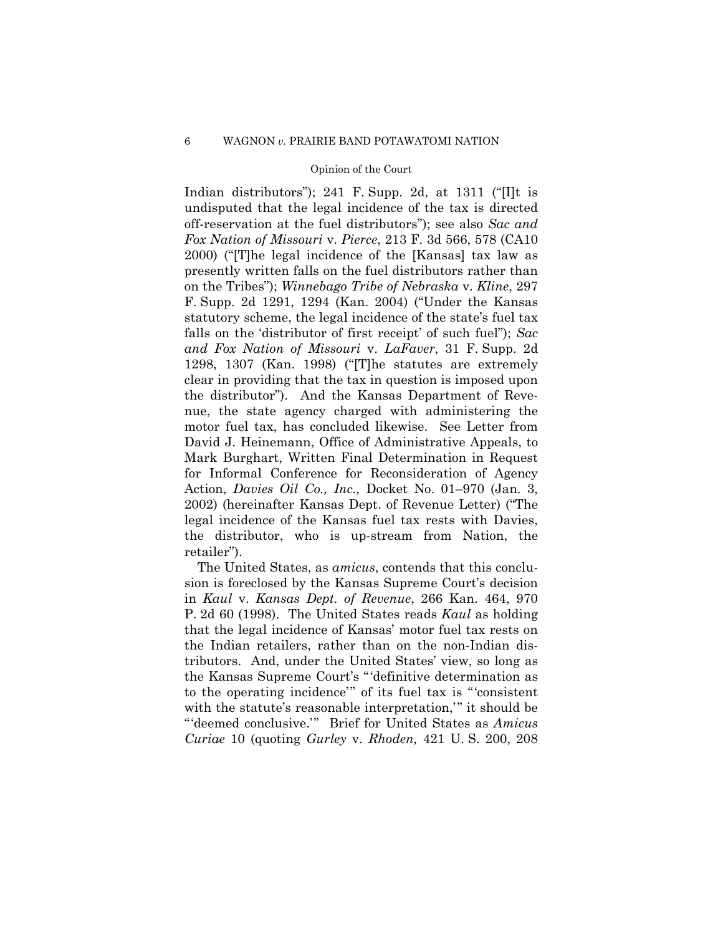Indian distributors"); 241 F. Supp. 2d, at 1311 ("[I]t is undisputed that the legal incidence of the tax is directed off-reservation at the fuel distributors"); see also *Sac and Fox Nation of Missouri* v. *Pierce*, 213 F. 3d 566, 578 (CA10 2000) ("[T]he legal incidence of the [Kansas] tax law as presently written falls on the fuel distributors rather than on the Tribes"); *Winnebago Tribe of Nebraska* v. *Kline*, 297 F. Supp. 2d 1291, 1294 (Kan. 2004) ("Under the Kansas statutory scheme, the legal incidence of the state's fuel tax falls on the 'distributor of first receipt' of such fuel"); *Sac and Fox Nation of Missouri* v. *LaFaver*, 31 F. Supp. 2d 1298, 1307 (Kan. 1998) ("[T]he statutes are extremely clear in providing that the tax in question is imposed upon the distributor"). And the Kansas Department of Revenue, the state agency charged with administering the motor fuel tax, has concluded likewise. See Letter from David J. Heinemann, Office of Administrative Appeals, to Mark Burghart, Written Final Determination in Request for Informal Conference for Reconsideration of Agency Action, *Davies Oil Co., Inc.,* Docket No. 01–970 (Jan. 3, 2002) (hereinafter Kansas Dept. of Revenue Letter) ("The legal incidence of the Kansas fuel tax rests with Davies, the distributor, who is up-stream from Nation, the retailer").

The United States, as *amicus*, contends that this conclusion is foreclosed by the Kansas Supreme Court's decision in *Kaul* v. *Kansas Dept. of Revenue*, 266 Kan. 464, 970 P. 2d 60 (1998). The United States reads *Kaul* as holding that the legal incidence of Kansas' motor fuel tax rests on the Indian retailers, rather than on the non-Indian distributors. And, under the United States' view, so long as the Kansas Supreme Court's " 'definitive determination as to the operating incidence" of its fuel tax is "consistent with the statute's reasonable interpretation," it should be " deemed conclusive." Brief for United States as *Amicus Curiae* 10 (quoting *Gurley* v. *Rhoden,* 421 U. S. 200, 208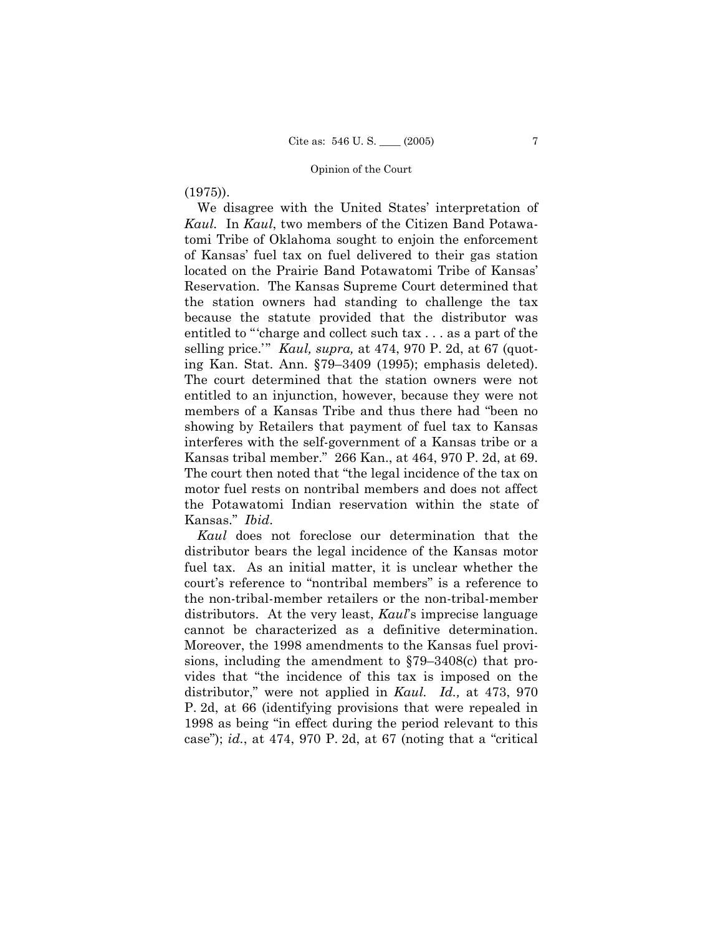# (1975)).

We disagree with the United States' interpretation of *Kaul.* In *Kaul*, two members of the Citizen Band Potawatomi Tribe of Oklahoma sought to enjoin the enforcement of Kansas' fuel tax on fuel delivered to their gas station located on the Prairie Band Potawatomi Tribe of Kansas' Reservation. The Kansas Supreme Court determined that the station owners had standing to challenge the tax because the statute provided that the distributor was entitled to " charge and collect such tax . . . as a part of the selling price.'" *Kaul, supra,* at 474, 970 P. 2d, at 67 (quoting Kan. Stat. Ann. §79–3409 (1995); emphasis deleted). The court determined that the station owners were not entitled to an injunction, however, because they were not members of a Kansas Tribe and thus there had "been no showing by Retailers that payment of fuel tax to Kansas interferes with the self-government of a Kansas tribe or a Kansas tribal member." 266 Kan., at 464, 970 P. 2d, at 69. The court then noted that "the legal incidence of the tax on motor fuel rests on nontribal members and does not affect the Potawatomi Indian reservation within the state of Kansas." *Ibid*.

*Kaul* does not foreclose our determination that the distributor bears the legal incidence of the Kansas motor fuel tax. As an initial matter, it is unclear whether the court's reference to "nontribal members" is a reference to the non-tribal-member retailers or the non-tribal-member distributors. At the very least, *Kaul*'s imprecise language cannot be characterized as a definitive determination. Moreover, the 1998 amendments to the Kansas fuel provisions, including the amendment to §79–3408(c) that provides that "the incidence of this tax is imposed on the distributor," were not applied in *Kaul. Id.,* at 473, 970 P. 2d, at 66 (identifying provisions that were repealed in 1998 as being "in effect during the period relevant to this case"); *id.*, at 474, 970 P. 2d, at 67 (noting that a "critical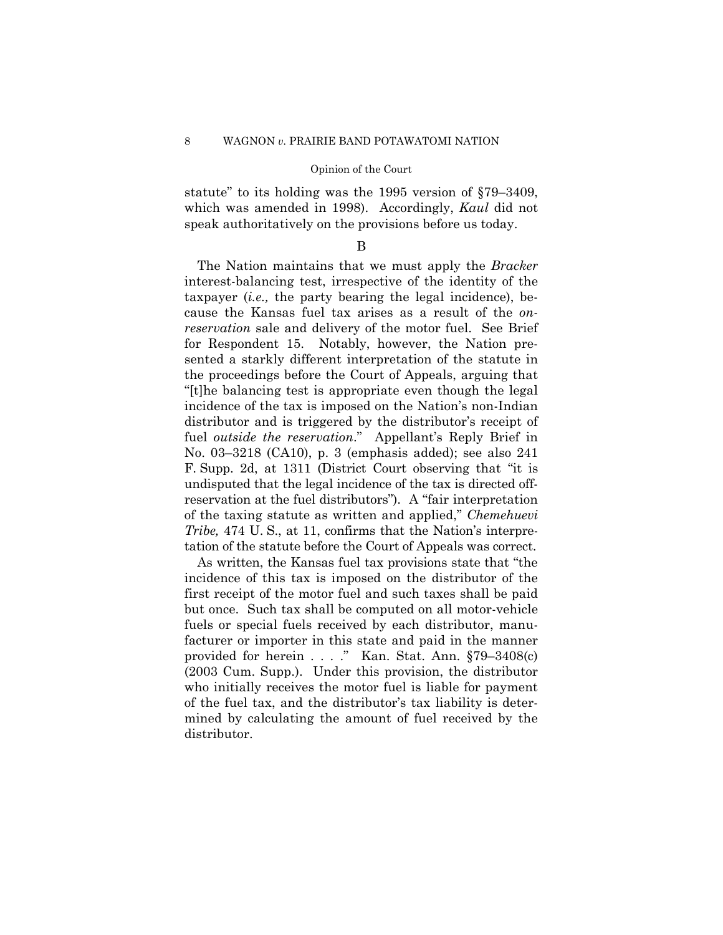statute" to its holding was the 1995 version of §79–3409, which was amended in 1998). Accordingly, *Kaul* did not speak authoritatively on the provisions before us today.

B

The Nation maintains that we must apply the *Bracker*  interest-balancing test, irrespective of the identity of the taxpayer (*i.e.,* the party bearing the legal incidence), because the Kansas fuel tax arises as a result of the *onreservation* sale and delivery of the motor fuel. See Brief for Respondent 15. Notably, however, the Nation presented a starkly different interpretation of the statute in the proceedings before the Court of Appeals, arguing that "[t]he balancing test is appropriate even though the legal incidence of the tax is imposed on the Nation's non-Indian distributor and is triggered by the distributor's receipt of fuel *outside the reservation*." Appellant's Reply Brief in No. 03–3218 (CA10), p. 3 (emphasis added); see also 241 F. Supp. 2d, at 1311 (District Court observing that "it is undisputed that the legal incidence of the tax is directed offreservation at the fuel distributors"). A "fair interpretation of the taxing statute as written and applied," *Chemehuevi Tribe,* 474 U.S., at 11, confirms that the Nation's interpretation of the statute before the Court of Appeals was correct.

As written, the Kansas fuel tax provisions state that "the incidence of this tax is imposed on the distributor of the first receipt of the motor fuel and such taxes shall be paid but once. Such tax shall be computed on all motor-vehicle fuels or special fuels received by each distributor, manufacturer or importer in this state and paid in the manner provided for herein . . . ." Kan. Stat. Ann. §79–3408(c) (2003 Cum. Supp.). Under this provision, the distributor who initially receives the motor fuel is liable for payment of the fuel tax, and the distributor's tax liability is determined by calculating the amount of fuel received by the distributor.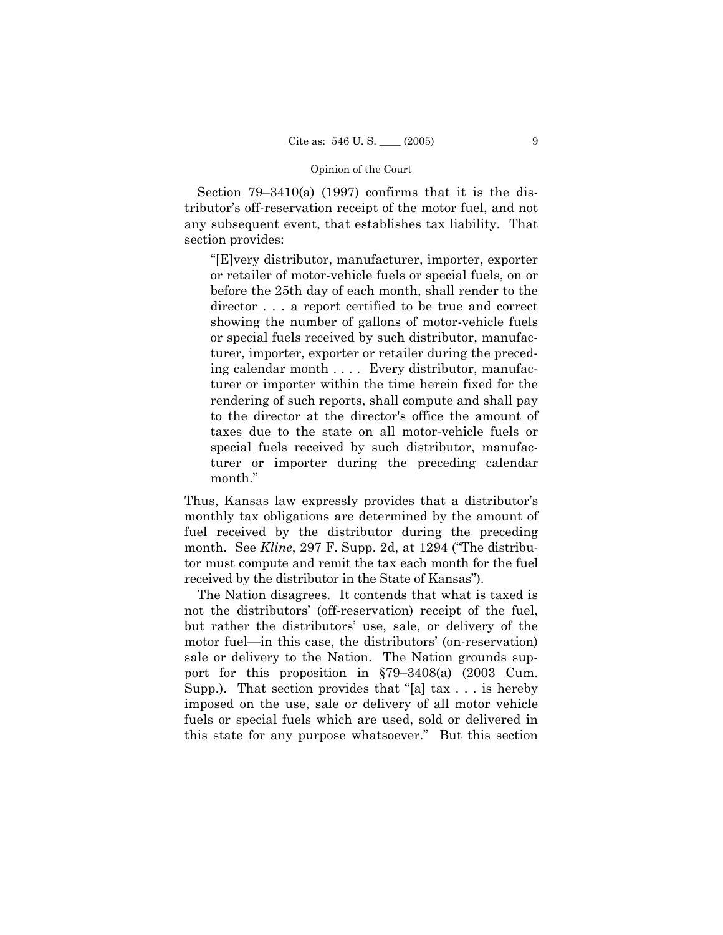Section 79–3410(a) (1997) confirms that it is the distributor's off-reservation receipt of the motor fuel, and not any subsequent event, that establishes tax liability. That section provides:

"[E]very distributor, manufacturer, importer, exporter or retailer of motor-vehicle fuels or special fuels, on or before the 25th day of each month, shall render to the director . . . a report certified to be true and correct showing the number of gallons of motor-vehicle fuels or special fuels received by such distributor, manufacturer, importer, exporter or retailer during the preceding calendar month . . . . Every distributor, manufacturer or importer within the time herein fixed for the rendering of such reports, shall compute and shall pay to the director at the director's office the amount of taxes due to the state on all motor-vehicle fuels or special fuels received by such distributor, manufacturer or importer during the preceding calendar month."

Thus, Kansas law expressly provides that a distributor's monthly tax obligations are determined by the amount of fuel received by the distributor during the preceding month. See *Kline*, 297 F. Supp. 2d, at 1294 ("The distributor must compute and remit the tax each month for the fuel received by the distributor in the State of Kansas").

The Nation disagrees. It contends that what is taxed is not the distributors' (off-reservation) receipt of the fuel, but rather the distributors' use, sale, or delivery of the motor fuel—in this case, the distributors' (on-reservation) sale or delivery to the Nation. The Nation grounds support for this proposition in §79–3408(a) (2003 Cum. Supp.). That section provides that "[a] tax . . . is hereby imposed on the use, sale or delivery of all motor vehicle fuels or special fuels which are used, sold or delivered in this state for any purpose whatsoever." But this section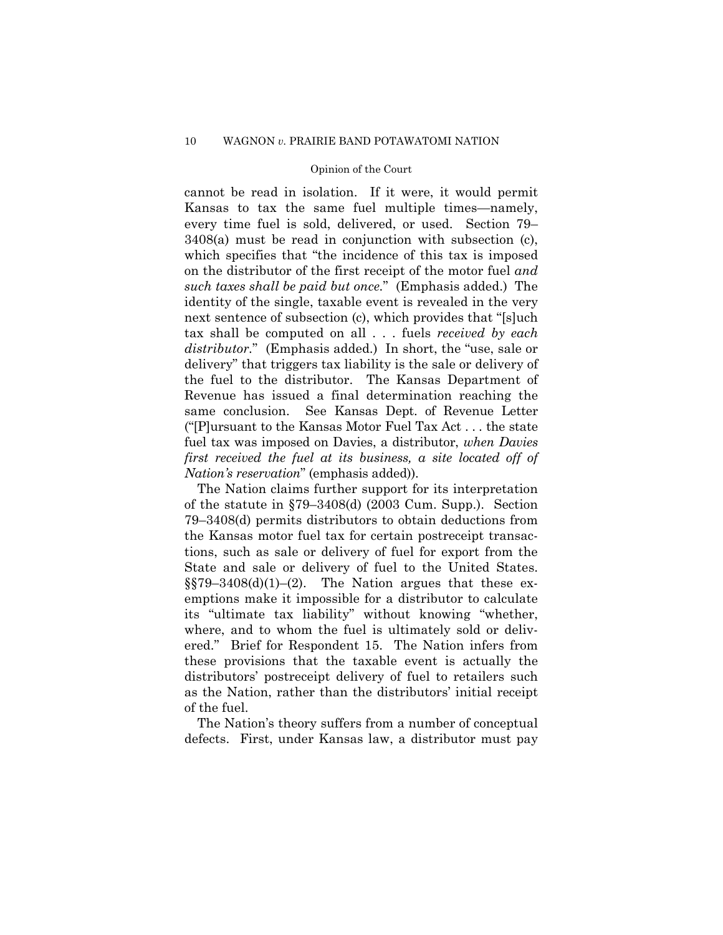cannot be read in isolation. If it were, it would permit Kansas to tax the same fuel multiple times—namely, every time fuel is sold, delivered, or used. Section 79– 3408(a) must be read in conjunction with subsection (c), which specifies that "the incidence of this tax is imposed on the distributor of the first receipt of the motor fuel *and such taxes shall be paid but once.*" (Emphasis added.) The identity of the single, taxable event is revealed in the very next sentence of subsection (c), which provides that "[s]uch tax shall be computed on all . . . fuels *received by each distributor.*" (Emphasis added.) In short, the "use, sale or delivery" that triggers tax liability is the sale or delivery of the fuel to the distributor. The Kansas Department of Revenue has issued a final determination reaching the same conclusion. See Kansas Dept. of Revenue Letter ("[P]ursuant to the Kansas Motor Fuel Tax Act . . . the state fuel tax was imposed on Davies, a distributor, *when Davies first received the fuel at its business, a site located off of Nation's reservation*" (emphasis added)).

The Nation claims further support for its interpretation of the statute in §79–3408(d) (2003 Cum. Supp.). Section 79–3408(d) permits distributors to obtain deductions from the Kansas motor fuel tax for certain postreceipt transactions, such as sale or delivery of fuel for export from the State and sale or delivery of fuel to the United States.  $\S$ [579–3408(d)(1)–(2). The Nation argues that these exemptions make it impossible for a distributor to calculate its "ultimate tax liability" without knowing "whether, where, and to whom the fuel is ultimately sold or delivered." Brief for Respondent 15. The Nation infers from these provisions that the taxable event is actually the distributors' postreceipt delivery of fuel to retailers such as the Nation, rather than the distributors' initial receipt of the fuel.

The Nation's theory suffers from a number of conceptual defects. First, under Kansas law, a distributor must pay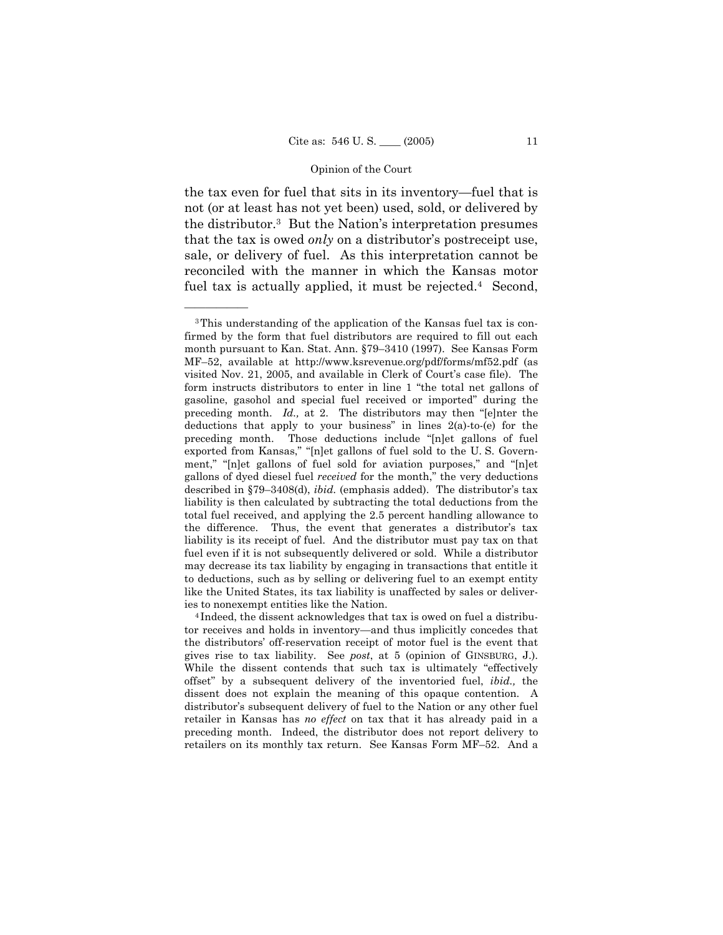the tax even for fuel that sits in its inventory—fuel that is not (or at least has not yet been) used, sold, or delivered by the distributor.3 But the Nation's interpretation presumes that the tax is owed *only* on a distributor's postreceipt use, sale, or delivery of fuel. As this interpretation cannot be reconciled with the manner in which the Kansas motor fuel tax is actually applied, it must be rejected.<sup>4</sup> Second,

<sup>3</sup>This understanding of the application of the Kansas fuel tax is confirmed by the form that fuel distributors are required to fill out each month pursuant to Kan. Stat. Ann. §79–3410 (1997). See Kansas Form MF–52, available at http://www.ksrevenue.org/pdf/forms/mf52.pdf (as visited Nov. 21, 2005, and available in Clerk of Court's case file). The form instructs distributors to enter in line 1 "the total net gallons of gasoline, gasohol and special fuel received or imported" during the preceding month. *Id.,* at 2. The distributors may then "[e]nter the deductions that apply to your business" in lines 2(a)-to-(e) for the preceding month. Those deductions include "[n]et gallons of fuel exported from Kansas," "[n]et gallons of fuel sold to the U. S. Government," "[n]et gallons of fuel sold for aviation purposes," and "[n]et gallons of dyed diesel fuel *received* for the month," the very deductions described in §79–3408(d), *ibid.* (emphasis added). The distributor's tax liability is then calculated by subtracting the total deductions from the total fuel received, and applying the 2.5 percent handling allowance to the difference. Thus, the event that generates a distributor's tax liability is its receipt of fuel. And the distributor must pay tax on that fuel even if it is not subsequently delivered or sold. While a distributor may decrease its tax liability by engaging in transactions that entitle it to deductions, such as by selling or delivering fuel to an exempt entity like the United States, its tax liability is unaffected by sales or deliveries to nonexempt entities like the Nation. 4 Indeed, the dissent acknowledges that tax is owed on fuel a distribu-

tor receives and holds in inventory—and thus implicitly concedes that the distributors' off-reservation receipt of motor fuel is the event that gives rise to tax liability. See *post*, at 5 (opinion of GINSBURG, J.). While the dissent contends that such tax is ultimately "effectively offset" by a subsequent delivery of the inventoried fuel, *ibid.,* the dissent does not explain the meaning of this opaque contention. A distributor's subsequent delivery of fuel to the Nation or any other fuel retailer in Kansas has *no effect* on tax that it has already paid in a preceding month. Indeed, the distributor does not report delivery to retailers on its monthly tax return. See Kansas Form MF–52. And a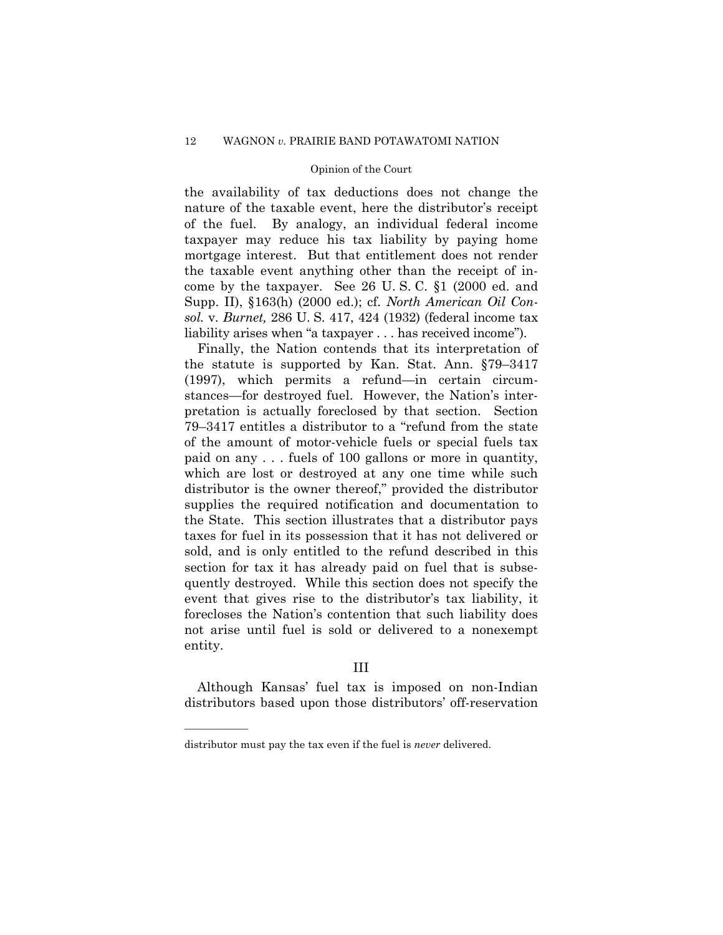the availability of tax deductions does not change the nature of the taxable event, here the distributor's receipt of the fuel. By analogy, an individual federal income taxpayer may reduce his tax liability by paying home mortgage interest. But that entitlement does not render the taxable event anything other than the receipt of income by the taxpayer. See 26 U. S. C. §1 (2000 ed. and Supp. II), §163(h) (2000 ed.); cf. *North American Oil Consol.* v. *Burnet,* 286 U. S. 417, 424 (1932) (federal income tax liability arises when "a taxpayer . . . has received income").

Finally, the Nation contends that its interpretation of the statute is supported by Kan. Stat. Ann. §79–3417 (1997), which permits a refund—in certain circumstances—for destroyed fuel. However, the Nation's interpretation is actually foreclosed by that section. Section 79–3417 entitles a distributor to a "refund from the state of the amount of motor-vehicle fuels or special fuels tax paid on any . . . fuels of 100 gallons or more in quantity, which are lost or destroyed at any one time while such distributor is the owner thereof," provided the distributor supplies the required notification and documentation to the State. This section illustrates that a distributor pays taxes for fuel in its possession that it has not delivered or sold, and is only entitled to the refund described in this section for tax it has already paid on fuel that is subsequently destroyed. While this section does not specify the event that gives rise to the distributor's tax liability, it forecloses the Nation's contention that such liability does not arise until fuel is sold or delivered to a nonexempt entity.

# III

Although Kansas' fuel tax is imposed on non-Indian distributors based upon those distributors' off-reservation

distributor must pay the tax even if the fuel is *never* delivered.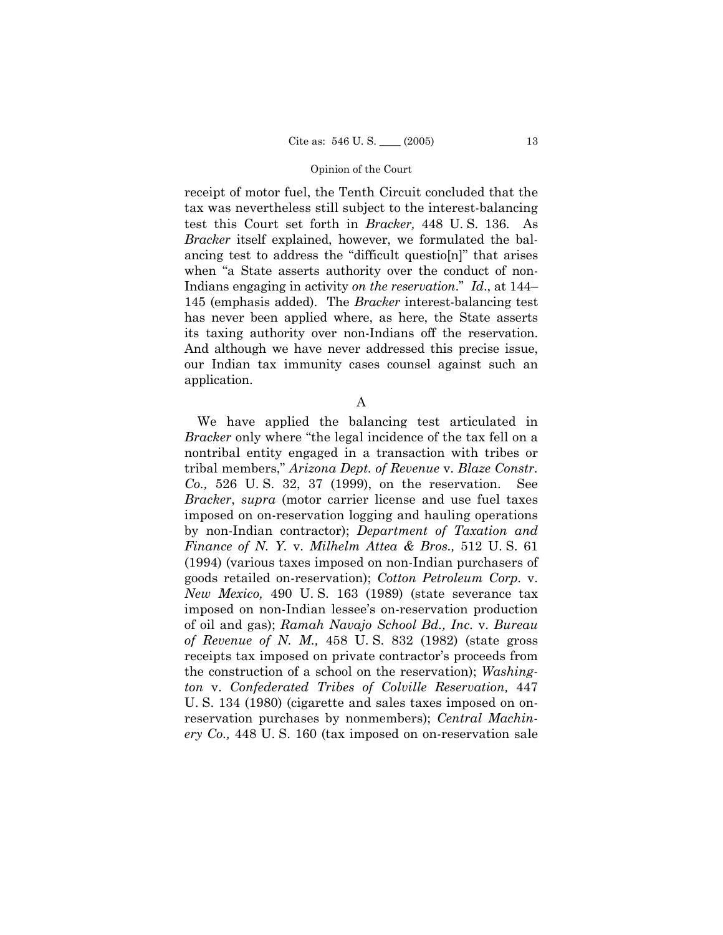receipt of motor fuel, the Tenth Circuit concluded that the tax was nevertheless still subject to the interest-balancing test this Court set forth in *Bracker,* 448 U. S. 136. As *Bracker* itself explained, however, we formulated the balancing test to address the "difficult questio[n]" that arises when "a State asserts authority over the conduct of non-Indians engaging in activity *on the reservation*." *Id*., at 144– 145 (emphasis added). The *Bracker* interest-balancing test has never been applied where, as here, the State asserts its taxing authority over non-Indians off the reservation. And although we have never addressed this precise issue, our Indian tax immunity cases counsel against such an application.

A

We have applied the balancing test articulated in *Bracker* only where "the legal incidence of the tax fell on a nontribal entity engaged in a transaction with tribes or tribal members," *Arizona Dept. of Revenue* v. *Blaze Constr. Co.,* 526 U. S. 32, 37 (1999), on the reservation. See *Bracker*, *supra* (motor carrier license and use fuel taxes imposed on on-reservation logging and hauling operations by non-Indian contractor); *Department of Taxation and Finance of N. Y.* v. *Milhelm Attea & Bros.,* 512 U. S. 61 (1994) (various taxes imposed on non-Indian purchasers of goods retailed on-reservation); *Cotton Petroleum Corp.* v. *New Mexico,* 490 U. S. 163 (1989) (state severance tax imposed on non-Indian lessee's on-reservation production of oil and gas); *Ramah Navajo School Bd., Inc.* v. *Bureau of Revenue of N. M.,* 458 U. S. 832 (1982) (state gross receipts tax imposed on private contractor's proceeds from the construction of a school on the reservation); *Washington* v. *Confederated Tribes of Colville Reservation,* 447 U. S. 134 (1980) (cigarette and sales taxes imposed on onreservation purchases by nonmembers); *Central Machinery Co.,* 448 U. S. 160 (tax imposed on on-reservation sale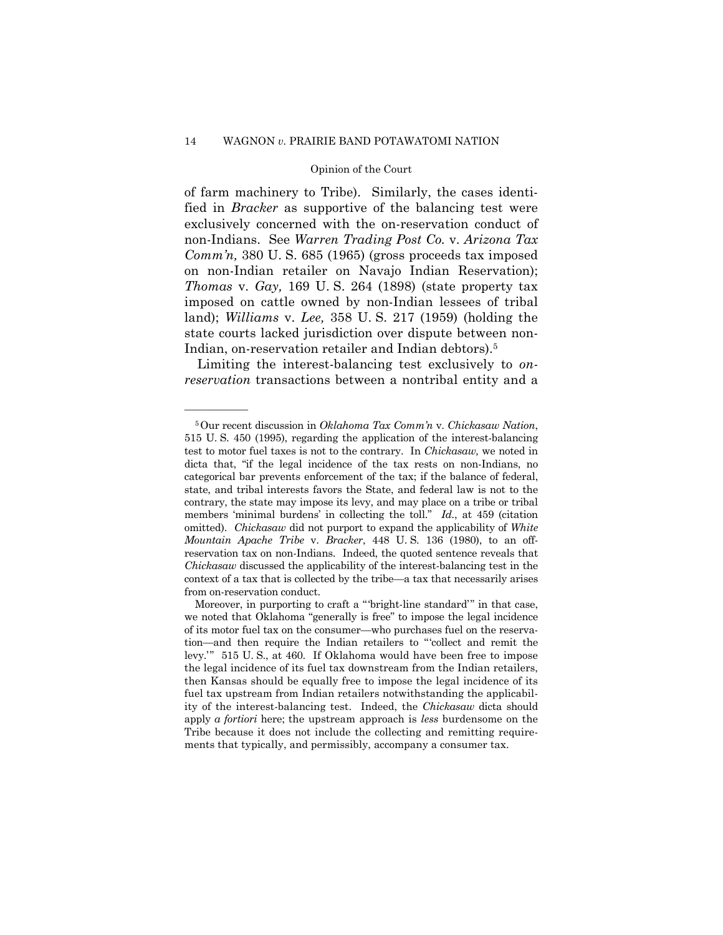of farm machinery to Tribe). Similarly, the cases identified in *Bracker* as supportive of the balancing test were exclusively concerned with the on-reservation conduct of non-Indians. See *Warren Trading Post Co.* v. *Arizona Tax Comm'n,* 380 U. S. 685 (1965) (gross proceeds tax imposed on non-Indian retailer on Navajo Indian Reservation); *Thomas* v. *Gay,* 169 U. S. 264 (1898) (state property tax imposed on cattle owned by non-Indian lessees of tribal land); *Williams* v. *Lee,* 358 U. S. 217 (1959) (holding the state courts lacked jurisdiction over dispute between non-Indian, on-reservation retailer and Indian debtors).5

Limiting the interest-balancing test exclusively to *onreservation* transactions between a nontribal entity and a

<sup>5</sup>Our recent discussion in *Oklahoma Tax Comm'n* v. *Chickasaw Nation*, 515 U. S. 450 (1995), regarding the application of the interest-balancing test to motor fuel taxes is not to the contrary. In *Chickasaw,* we noted in dicta that, "if the legal incidence of the tax rests on non-Indians, no categorical bar prevents enforcement of the tax; if the balance of federal, state, and tribal interests favors the State, and federal law is not to the contrary, the state may impose its levy, and may place on a tribe or tribal members 'minimal burdens' in collecting the toll." *Id.*, at 459 (citation omitted). *Chickasaw* did not purport to expand the applicability of *White Mountain Apache Tribe* v. *Bracker*, 448 U. S. 136 (1980), to an offreservation tax on non-Indians. Indeed, the quoted sentence reveals that *Chickasaw* discussed the applicability of the interest-balancing test in the context of a tax that is collected by the tribe—a tax that necessarily arises from on-reservation conduct.

Moreover, in purporting to craft a " 'bright-line standard' " in that case, we noted that Oklahoma "generally is free" to impose the legal incidence of its motor fuel tax on the consumer—who purchases fuel on the reservation—and then require the Indian retailers to " 'collect and remit the levy." 515 U.S., at 460. If Oklahoma would have been free to impose the legal incidence of its fuel tax downstream from the Indian retailers, then Kansas should be equally free to impose the legal incidence of its fuel tax upstream from Indian retailers notwithstanding the applicability of the interest-balancing test. Indeed, the *Chickasaw* dicta should apply *a fortiori* here; the upstream approach is *less* burdensome on the Tribe because it does not include the collecting and remitting requirements that typically, and permissibly, accompany a consumer tax.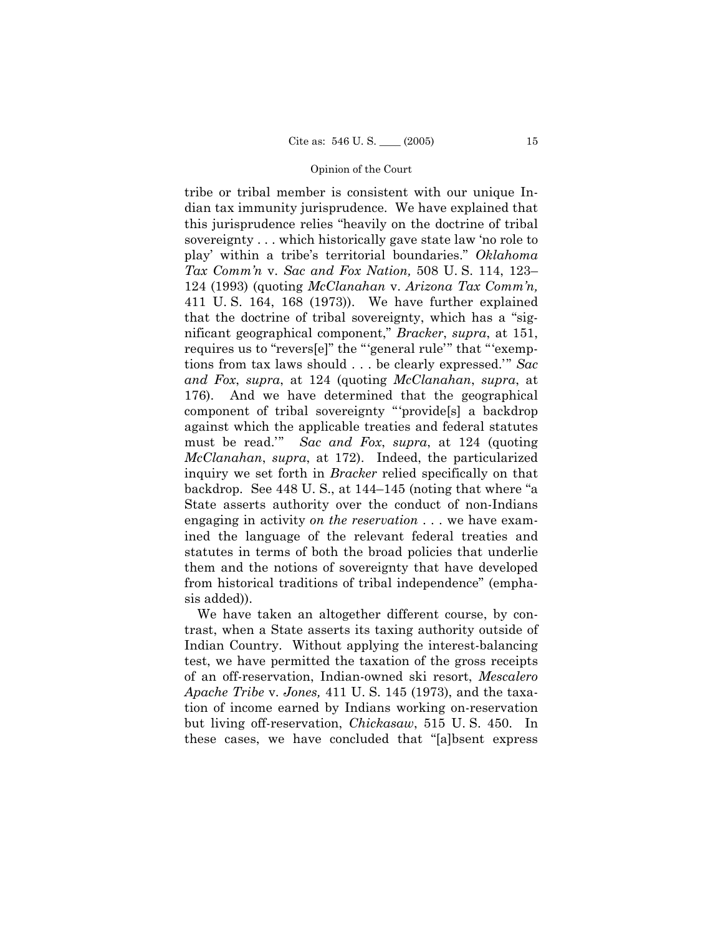tribe or tribal member is consistent with our unique Indian tax immunity jurisprudence. We have explained that this jurisprudence relies "heavily on the doctrine of tribal sovereignty . . . which historically gave state law 'no role to play' within a tribe's territorial boundaries." *Oklahoma Tax Comm'n* v. *Sac and Fox Nation,* 508 U. S. 114, 123– 124 (1993) (quoting *McClanahan* v. *Arizona Tax Comm'n,*  411 U. S. 164, 168 (1973)). We have further explained that the doctrine of tribal sovereignty, which has a "significant geographical component," *Bracker*, *supra*, at 151, requires us to "revers[e]" the "'general rule'" that "'exemptions from tax laws should . . . be clearly expressed." *Sac and Fox*, *supra*, at 124 (quoting *McClanahan*, *supra*, at 176). And we have determined that the geographical component of tribal sovereignty " 'provide[s] a backdrop against which the applicable treaties and federal statutes must be read.'" *Sac and Fox*, *supra*, at 124 (quoting *McClanahan*, *supra*, at 172). Indeed, the particularized inquiry we set forth in *Bracker* relied specifically on that backdrop. See 448 U. S., at 144–145 (noting that where "a State asserts authority over the conduct of non-Indians engaging in activity *on the reservation* . . . we have examined the language of the relevant federal treaties and statutes in terms of both the broad policies that underlie them and the notions of sovereignty that have developed from historical traditions of tribal independence" (emphasis added)).

We have taken an altogether different course, by contrast, when a State asserts its taxing authority outside of Indian Country. Without applying the interest-balancing test, we have permitted the taxation of the gross receipts of an off-reservation, Indian-owned ski resort, *Mescalero Apache Tribe* v. *Jones,* 411 U. S. 145 (1973), and the taxation of income earned by Indians working on-reservation but living off-reservation, *Chickasaw*, 515 U. S. 450. In these cases, we have concluded that "[a]bsent express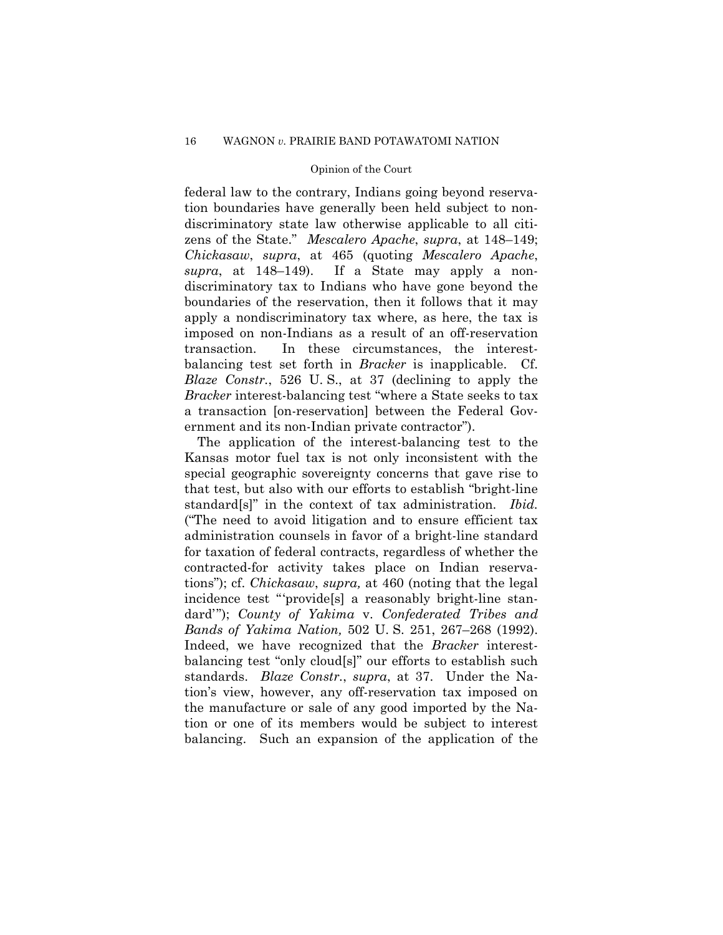federal law to the contrary, Indians going beyond reservation boundaries have generally been held subject to nondiscriminatory state law otherwise applicable to all citizens of the State." *Mescalero Apache*, *supra*, at 148–149; *Chickasaw*, *supra*, at 465 (quoting *Mescalero Apache*, *supra*, at 148–149). If a State may apply a nondiscriminatory tax to Indians who have gone beyond the boundaries of the reservation, then it follows that it may apply a nondiscriminatory tax where, as here, the tax is imposed on non-Indians as a result of an off-reservation transaction. In these circumstances, the interestbalancing test set forth in *Bracker* is inapplicable. Cf. *Blaze Constr.*, 526 U. S., at 37 (declining to apply the *Bracker* interest-balancing test "where a State seeks to tax a transaction [on-reservation] between the Federal Government and its non-Indian private contractor").

The application of the interest-balancing test to the Kansas motor fuel tax is not only inconsistent with the special geographic sovereignty concerns that gave rise to that test, but also with our efforts to establish "bright-line standard[s]" in the context of tax administration. *Ibid.*  ("The need to avoid litigation and to ensure efficient tax administration counsels in favor of a bright-line standard for taxation of federal contracts, regardless of whether the contracted-for activity takes place on Indian reservations"); cf. *Chickasaw*, *supra,* at 460 (noting that the legal incidence test "provide<sup>[s]</sup> a reasonably bright-line standard' "); *County of Yakima* v. *Confederated Tribes and Bands of Yakima Nation,* 502 U. S. 251, 267–268 (1992). Indeed, we have recognized that the *Bracker* interestbalancing test "only cloud[s]" our efforts to establish such standards. *Blaze Constr.*, *supra*, at 37. Under the Nation's view, however, any off-reservation tax imposed on the manufacture or sale of any good imported by the Nation or one of its members would be subject to interest balancing. Such an expansion of the application of the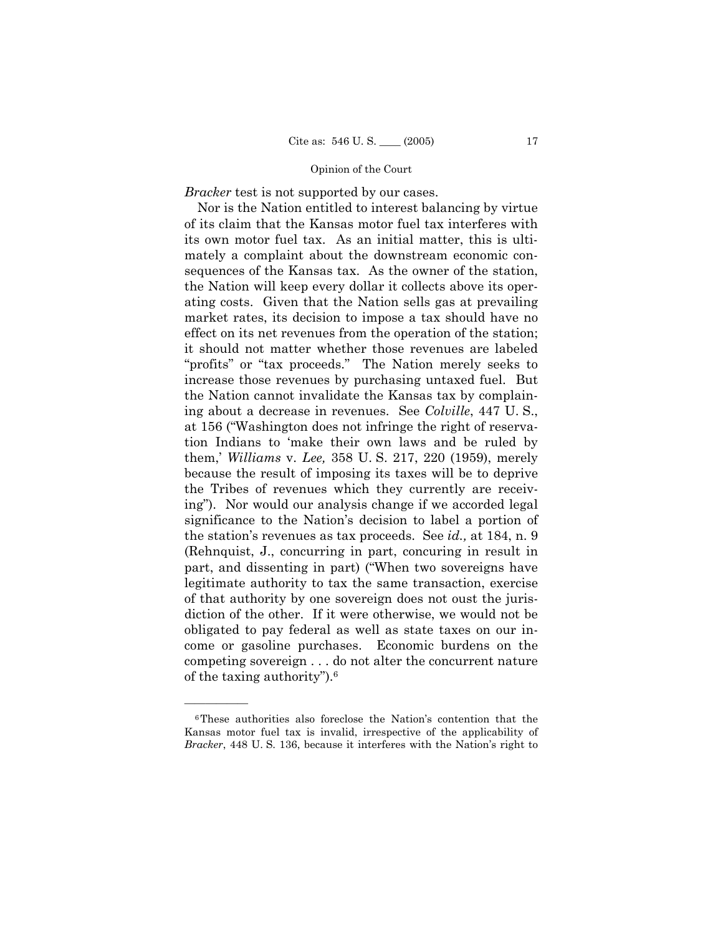*Bracker* test is not supported by our cases.

Nor is the Nation entitled to interest balancing by virtue of its claim that the Kansas motor fuel tax interferes with its own motor fuel tax. As an initial matter, this is ultimately a complaint about the downstream economic consequences of the Kansas tax. As the owner of the station, the Nation will keep every dollar it collects above its operating costs. Given that the Nation sells gas at prevailing market rates, its decision to impose a tax should have no effect on its net revenues from the operation of the station; it should not matter whether those revenues are labeled "profits" or "tax proceeds." The Nation merely seeks to increase those revenues by purchasing untaxed fuel. But the Nation cannot invalidate the Kansas tax by complaining about a decrease in revenues. See *Colville*, 447 U. S., at 156 ("Washington does not infringe the right of reservation Indians to 'make their own laws and be ruled by them,' *Williams* v. *Lee,* 358 U. S. 217, 220 (1959), merely because the result of imposing its taxes will be to deprive the Tribes of revenues which they currently are receiving"). Nor would our analysis change if we accorded legal significance to the Nation's decision to label a portion of the station's revenues as tax proceeds. See *id.,* at 184, n. 9 (Rehnquist, J., concurring in part, concuring in result in part, and dissenting in part) ("When two sovereigns have legitimate authority to tax the same transaction, exercise of that authority by one sovereign does not oust the jurisdiction of the other. If it were otherwise, we would not be obligated to pay federal as well as state taxes on our income or gasoline purchases. Economic burdens on the competing sovereign . . . do not alter the concurrent nature of the taxing authority"). $6$ 

<sup>6</sup>These authorities also foreclose the Nation's contention that the Kansas motor fuel tax is invalid, irrespective of the applicability of *Bracker*, 448 U. S. 136, because it interferes with the Nation's right to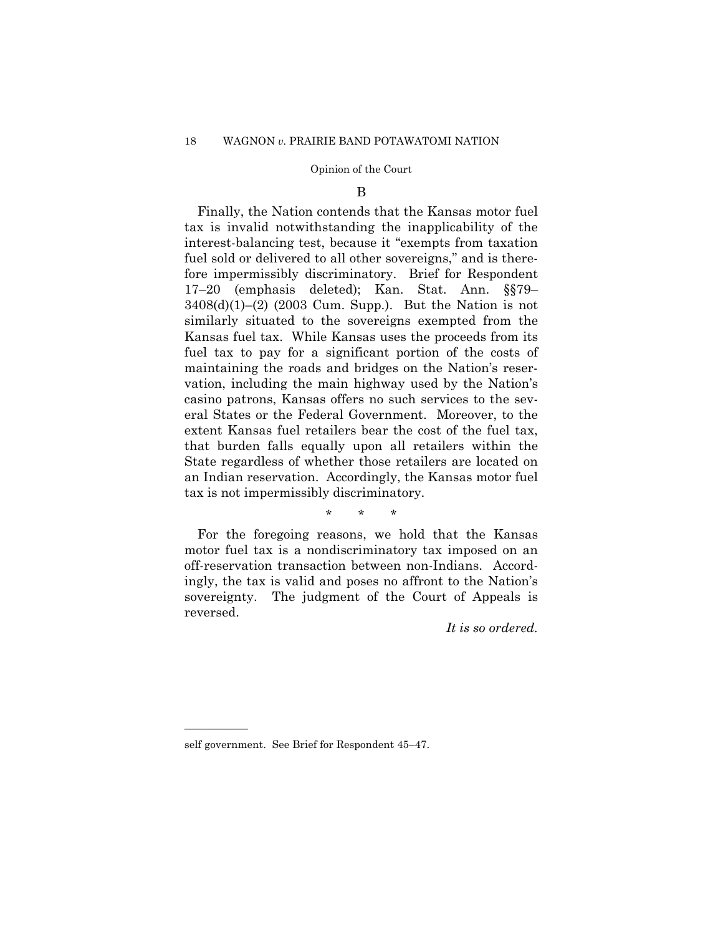## B

Finally, the Nation contends that the Kansas motor fuel tax is invalid notwithstanding the inapplicability of the interest-balancing test, because it "exempts from taxation fuel sold or delivered to all other sovereigns," and is therefore impermissibly discriminatory. Brief for Respondent 17–20 (emphasis deleted); Kan. Stat. Ann. §§79–  $3408(d)(1)–(2)$  (2003 Cum. Supp.). But the Nation is not similarly situated to the sovereigns exempted from the Kansas fuel tax. While Kansas uses the proceeds from its fuel tax to pay for a significant portion of the costs of maintaining the roads and bridges on the Nation's reservation, including the main highway used by the Nation's casino patrons, Kansas offers no such services to the several States or the Federal Government. Moreover, to the extent Kansas fuel retailers bear the cost of the fuel tax, that burden falls equally upon all retailers within the State regardless of whether those retailers are located on an Indian reservation. Accordingly, the Kansas motor fuel tax is not impermissibly discriminatory.

\* \* \*

For the foregoing reasons, we hold that the Kansas motor fuel tax is a nondiscriminatory tax imposed on an off-reservation transaction between non-Indians. Accordingly, the tax is valid and poses no affront to the Nation's sovereignty. The judgment of the Court of Appeals is reversed.

*It is so ordered.* 

self government. See Brief for Respondent 45–47.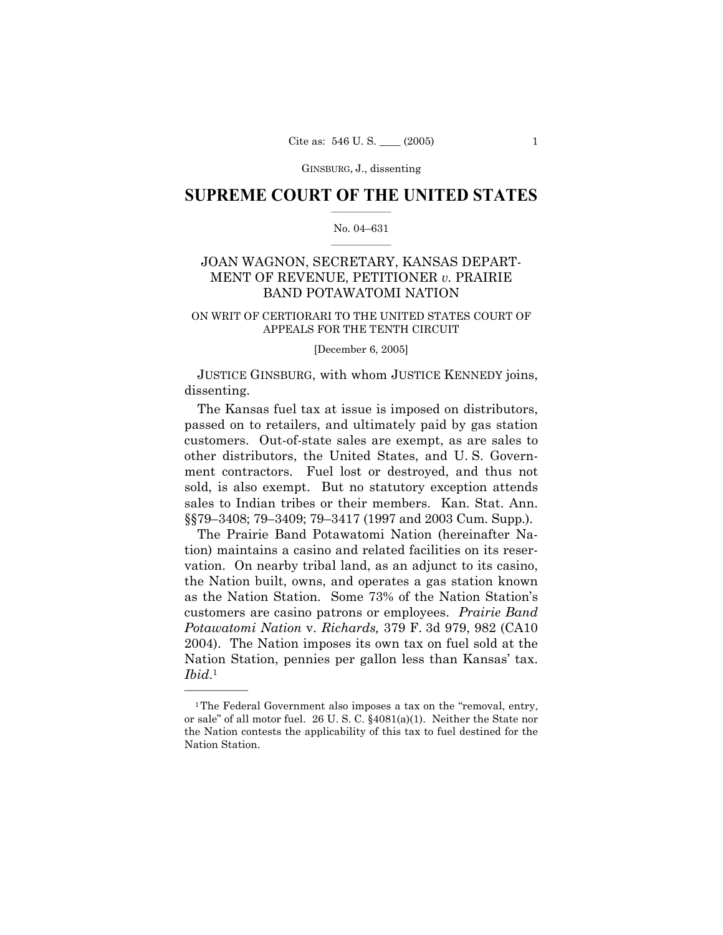# $\frac{1}{2}$  ,  $\frac{1}{2}$  ,  $\frac{1}{2}$  ,  $\frac{1}{2}$  ,  $\frac{1}{2}$  ,  $\frac{1}{2}$  ,  $\frac{1}{2}$ **SUPREME COURT OF THE UNITED STATES**

# $\mathcal{L}=\mathcal{L}$ No. 04–631

# JOAN WAGNON, SECRETARY, KANSAS DEPART-MENT OF REVENUE, PETITIONER *v.* PRAIRIE BAND POTAWATOMI NATION

# ON WRIT OF CERTIORARI TO THE UNITED STATES COURT OF APPEALS FOR THE TENTH CIRCUIT

#### [December 6, 2005]

JUSTICE GINSBURG, with whom JUSTICE KENNEDY joins, dissenting.

The Kansas fuel tax at issue is imposed on distributors, passed on to retailers, and ultimately paid by gas station customers. Out-of-state sales are exempt, as are sales to other distributors, the United States, and U. S. Government contractors. Fuel lost or destroyed, and thus not sold, is also exempt. But no statutory exception attends sales to Indian tribes or their members. Kan. Stat. Ann. §§79–3408; 79–3409; 79–3417 (1997 and 2003 Cum. Supp.).

The Prairie Band Potawatomi Nation (hereinafter Nation) maintains a casino and related facilities on its reservation. On nearby tribal land, as an adjunct to its casino, the Nation built, owns, and operates a gas station known as the Nation Station. Some 73% of the Nation Station's customers are casino patrons or employees. *Prairie Band Potawatomi Nation* v. *Richards,* 379 F. 3d 979, 982 (CA10 2004). The Nation imposes its own tax on fuel sold at the Nation Station, pennies per gallon less than Kansas' tax. <sup>1</sup> *Ibid*.

<sup>&</sup>lt;sup>1</sup>The Federal Government also imposes a tax on the "removal, entry, or sale" of all motor fuel. 26 U. S. C. §4081(a)(1). Neither the State nor the Nation contests the applicability of this tax to fuel destined for the Nation Station.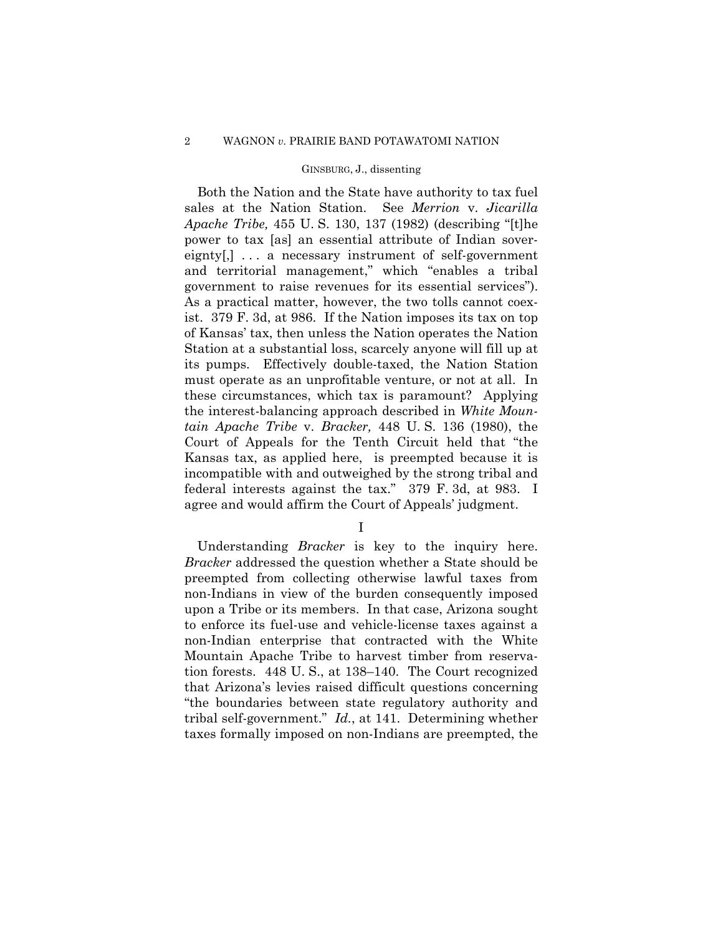# 2 WAGNON *v.* PRAIRIE BAND POTAWATOMI NATION

## GINSBURG, J., dissenting

Both the Nation and the State have authority to tax fuel sales at the Nation Station. See *Merrion* v. *Jicarilla Apache Tribe,* 455 U. S. 130, 137 (1982) (describing "[t]he power to tax [as] an essential attribute of Indian sovereignty[,]... a necessary instrument of self-government and territorial management," which "enables a tribal government to raise revenues for its essential services"). As a practical matter, however, the two tolls cannot coexist. 379 F. 3d, at 986. If the Nation imposes its tax on top of Kansas' tax, then unless the Nation operates the Nation Station at a substantial loss, scarcely anyone will fill up at its pumps. Effectively double-taxed, the Nation Station must operate as an unprofitable venture, or not at all. In these circumstances, which tax is paramount? Applying the interest-balancing approach described in *White Mountain Apache Tribe* v. *Bracker,* 448 U. S. 136 (1980), the Court of Appeals for the Tenth Circuit held that "the Kansas tax, as applied here, is preempted because it is incompatible with and outweighed by the strong tribal and federal interests against the tax." 379 F. 3d, at 983. I agree and would affirm the Court of Appeals' judgment.

I

 Understanding *Bracker* is key to the inquiry here. *Bracker* addressed the question whether a State should be preempted from collecting otherwise lawful taxes from non-Indians in view of the burden consequently imposed upon a Tribe or its members. In that case, Arizona sought to enforce its fuel-use and vehicle-license taxes against a non-Indian enterprise that contracted with the White Mountain Apache Tribe to harvest timber from reservation forests. 448 U. S., at 138–140. The Court recognized that Arizona's levies raised difficult questions concerning "the boundaries between state regulatory authority and tribal self-government." *Id.*, at 141. Determining whether taxes formally imposed on non-Indians are preempted, the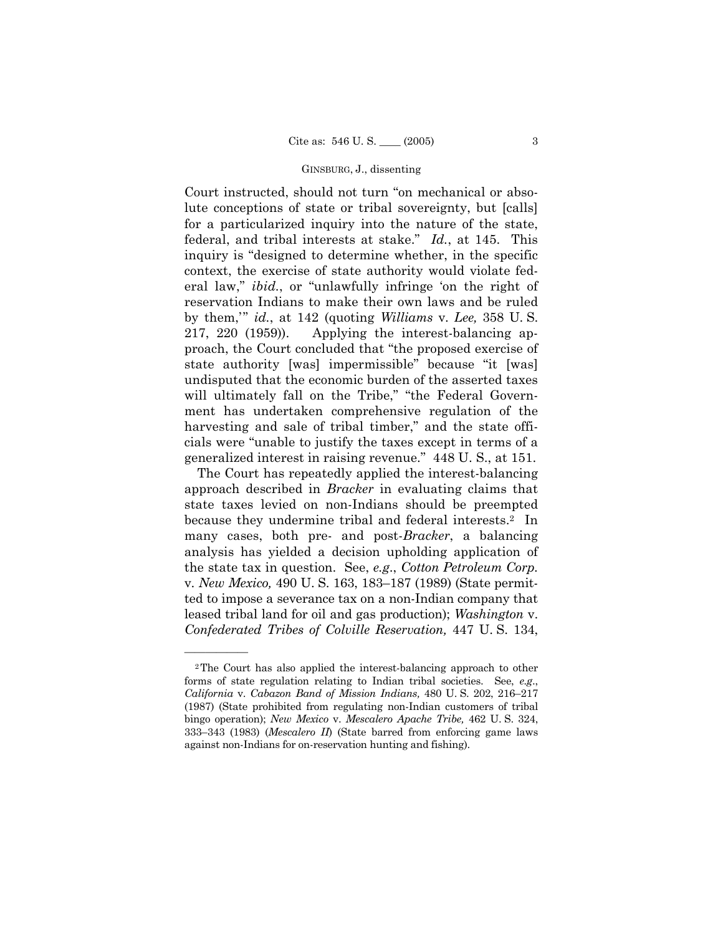Court instructed, should not turn "on mechanical or absolute conceptions of state or tribal sovereignty, but [calls] for a particularized inquiry into the nature of the state, federal, and tribal interests at stake." *Id.*, at 145. This inquiry is "designed to determine whether, in the specific context, the exercise of state authority would violate federal law," *ibid.*, or "unlawfully infringe 'on the right of reservation Indians to make their own laws and be ruled by them,' " *id.*, at 142 (quoting *Williams* v. *Lee,* 358 U. S. 217, 220 (1959)). Applying the interest-balancing approach, the Court concluded that "the proposed exercise of state authority [was] impermissible" because "it [was] undisputed that the economic burden of the asserted taxes will ultimately fall on the Tribe," "the Federal Government has undertaken comprehensive regulation of the harvesting and sale of tribal timber," and the state officials were "unable to justify the taxes except in terms of a generalized interest in raising revenue." 448 U. S., at 151.

The Court has repeatedly applied the interest-balancing approach described in *Bracker* in evaluating claims that state taxes levied on non-Indians should be preempted because they undermine tribal and federal interests.<sup>2</sup> In many cases, both pre- and post-*Bracker*, a balancing analysis has yielded a decision upholding application of the state tax in question. See, *e.g*., *Cotton Petroleum Corp.*  v. *New Mexico,* 490 U. S. 163, 183–187 (1989) (State permitted to impose a severance tax on a non-Indian company that leased tribal land for oil and gas production); *Washington* v. *Confederated Tribes of Colville Reservation,* 447 U. S. 134,

<sup>2</sup>The Court has also applied the interest-balancing approach to other forms of state regulation relating to Indian tribal societies. See, *e.g*., *California* v. *Cabazon Band of Mission Indians,* 480 U. S. 202, 216–217 (1987) (State prohibited from regulating non-Indian customers of tribal bingo operation); *New Mexico* v. *Mescalero Apache Tribe,* 462 U. S. 324, 333–343 (1983) (*Mescalero II*) (State barred from enforcing game laws against non-Indians for on-reservation hunting and fishing).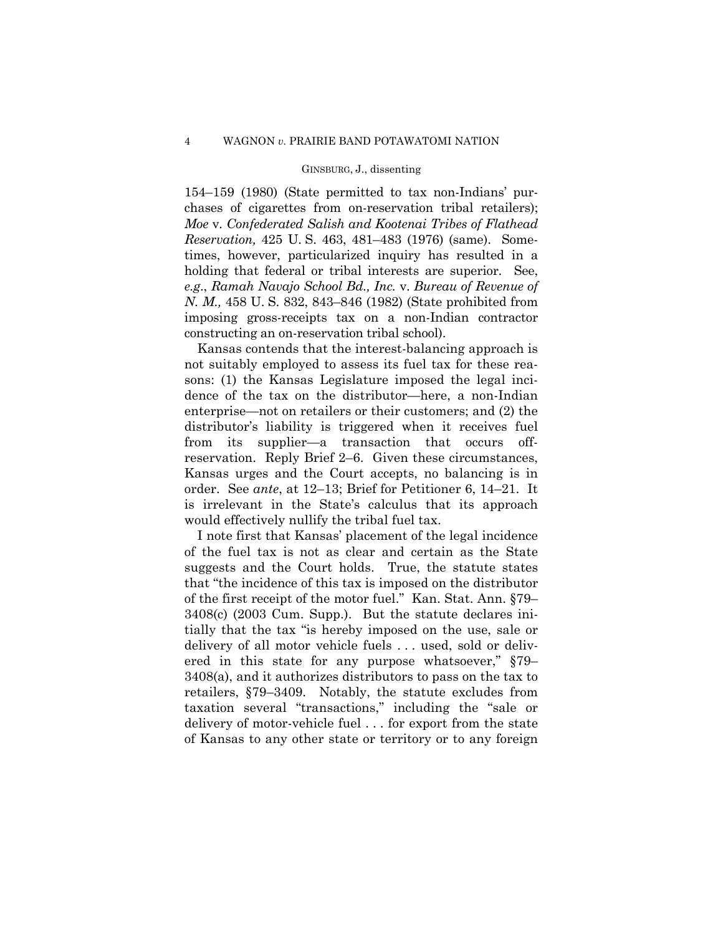154–159 (1980) (State permitted to tax non-Indians' purchases of cigarettes from on-reservation tribal retailers); *Moe* v. *Confederated Salish and Kootenai Tribes of Flathead Reservation,* 425 U. S. 463, 481–483 (1976) (same). Sometimes, however, particularized inquiry has resulted in a holding that federal or tribal interests are superior. See, *e.g*., *Ramah Navajo School Bd., Inc.* v. *Bureau of Revenue of N. M.,* 458 U. S. 832, 843–846 (1982) (State prohibited from imposing gross-receipts tax on a non-Indian contractor constructing an on-reservation tribal school).

Kansas contends that the interest-balancing approach is not suitably employed to assess its fuel tax for these reasons: (1) the Kansas Legislature imposed the legal incidence of the tax on the distributor—here, a non-Indian enterprise—not on retailers or their customers; and (2) the distributor's liability is triggered when it receives fuel from its supplier—a transaction that occurs offreservation. Reply Brief 2–6. Given these circumstances, Kansas urges and the Court accepts, no balancing is in order. See *ante*, at 12–13; Brief for Petitioner 6, 14–21. It is irrelevant in the State's calculus that its approach would effectively nullify the tribal fuel tax.

I note first that Kansas' placement of the legal incidence of the fuel tax is not as clear and certain as the State suggests and the Court holds. True, the statute states that "the incidence of this tax is imposed on the distributor of the first receipt of the motor fuel." Kan. Stat. Ann. §79– 3408(c) (2003 Cum. Supp.). But the statute declares initially that the tax "is hereby imposed on the use, sale or delivery of all motor vehicle fuels . . . used, sold or delivered in this state for any purpose whatsoever," §79– 3408(a), and it authorizes distributors to pass on the tax to retailers, §79–3409. Notably, the statute excludes from taxation several "transactions," including the "sale or delivery of motor-vehicle fuel . . . for export from the state of Kansas to any other state or territory or to any foreign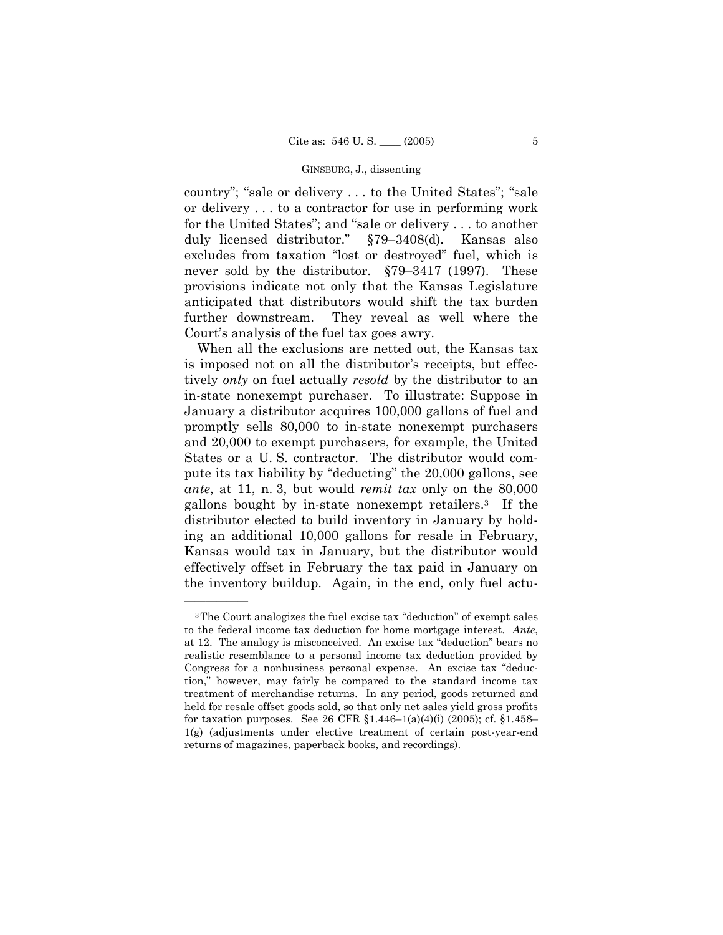country"; "sale or delivery . . . to the United States"; "sale or delivery . . . to a contractor for use in performing work for the United States"; and "sale or delivery . . . to another duly licensed distributor." §79–3408(d). Kansas also excludes from taxation "lost or destroyed" fuel, which is never sold by the distributor. §79–3417 (1997). These provisions indicate not only that the Kansas Legislature anticipated that distributors would shift the tax burden further downstream. They reveal as well where the Court's analysis of the fuel tax goes awry.

When all the exclusions are netted out, the Kansas tax is imposed not on all the distributor's receipts, but effectively *only* on fuel actually *resold* by the distributor to an in-state nonexempt purchaser. To illustrate: Suppose in January a distributor acquires 100,000 gallons of fuel and promptly sells 80,000 to in-state nonexempt purchasers and 20,000 to exempt purchasers, for example, the United States or a U. S. contractor. The distributor would compute its tax liability by "deducting" the 20,000 gallons, see *ante*, at 11, n. 3, but would *remit tax* only on the 80,000 gallons bought by in-state nonexempt retailers.3 If the distributor elected to build inventory in January by holding an additional 10,000 gallons for resale in February, Kansas would tax in January, but the distributor would effectively offset in February the tax paid in January on the inventory buildup. Again, in the end, only fuel actu-

<sup>3</sup>The Court analogizes the fuel excise tax "deduction" of exempt sales to the federal income tax deduction for home mortgage interest. *Ante*, at 12. The analogy is misconceived. An excise tax "deduction" bears no realistic resemblance to a personal income tax deduction provided by Congress for a nonbusiness personal expense. An excise tax "deduction," however, may fairly be compared to the standard income tax treatment of merchandise returns. In any period, goods returned and held for resale offset goods sold, so that only net sales yield gross profits for taxation purposes. See 26 CFR  $$1.446-1(a)(4)(i)$  (2005); cf.  $$1.458-$ 1(g) (adjustments under elective treatment of certain post-year-end returns of magazines, paperback books, and recordings).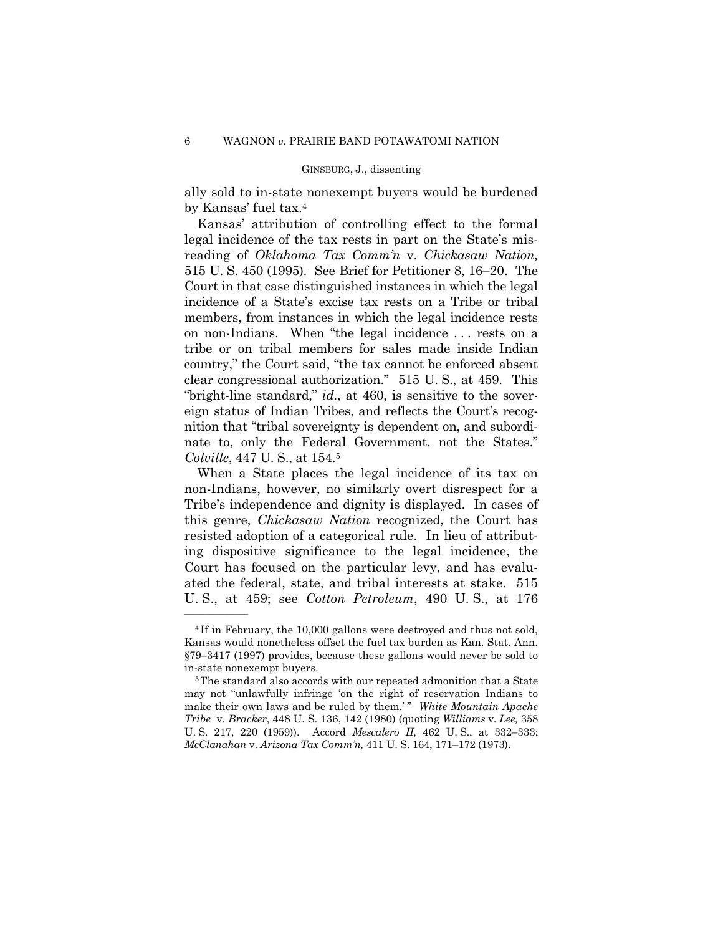ally sold to in-state nonexempt buyers would be burdened by Kansas' fuel tax.4

Kansas' attribution of controlling effect to the formal legal incidence of the tax rests in part on the State's misreading of *Oklahoma Tax Comm'n* v. *Chickasaw Nation,*  515 U. S. 450 (1995). See Brief for Petitioner 8, 16–20. The Court in that case distinguished instances in which the legal incidence of a State's excise tax rests on a Tribe or tribal members, from instances in which the legal incidence rests on non-Indians. When "the legal incidence . . . rests on a tribe or on tribal members for sales made inside Indian country," the Court said, "the tax cannot be enforced absent clear congressional authorization." 515 U. S., at 459. This "bright-line standard," *id.*, at 460, is sensitive to the sovereign status of Indian Tribes, and reflects the Court's recognition that "tribal sovereignty is dependent on, and subordinate to, only the Federal Government, not the States." *Colville*, 447 U. S., at 154.5

When a State places the legal incidence of its tax on non-Indians, however, no similarly overt disrespect for a Tribe's independence and dignity is displayed. In cases of this genre, *Chickasaw Nation* recognized, the Court has resisted adoption of a categorical rule. In lieu of attributing dispositive significance to the legal incidence, the Court has focused on the particular levy, and has evaluated the federal, state, and tribal interests at stake. 515 U. S., at 459; see *Cotton Petroleum*, 490 U. S., at 176

<sup>4</sup> If in February, the 10,000 gallons were destroyed and thus not sold, Kansas would nonetheless offset the fuel tax burden as Kan. Stat. Ann. §79–3417 (1997) provides, because these gallons would never be sold to in-state nonexempt buyers. 5The standard also accords with our repeated admonition that a State

may not "unlawfully infringe 'on the right of reservation Indians to make their own laws and be ruled by them.'" White Mountain Apache *Tribe* v. *Bracker*, 448 U. S. 136, 142 (1980) (quoting *Williams* v. *Lee,* 358 U. S. 217, 220 (1959)). Accord *Mescalero II,* 462 U. S., at 332–333; *McClanahan* v. *Arizona Tax Comm'n,* 411 U. S. 164, 171–172 (1973).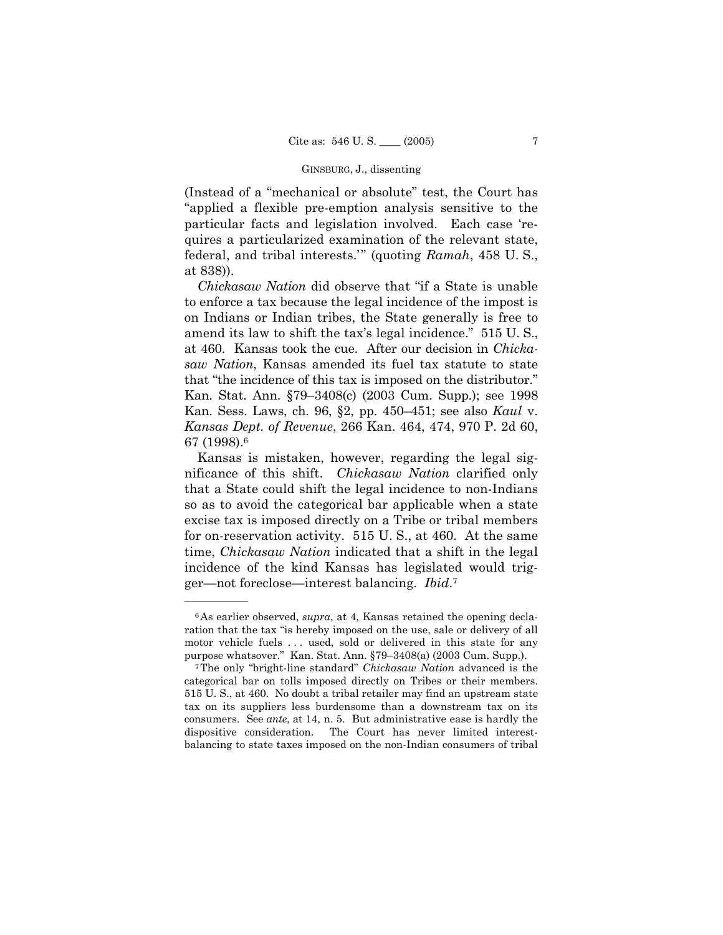(Instead of a "mechanical or absolute" test, the Court has "applied a flexible pre-emption analysis sensitive to the particular facts and legislation involved. Each case 'requires a particularized examination of the relevant state, federal, and tribal interests." (quoting *Ramah*, 458 U.S., at 838)).

*Chickasaw Nation* did observe that "if a State is unable to enforce a tax because the legal incidence of the impost is on Indians or Indian tribes, the State generally is free to amend its law to shift the tax's legal incidence." 515 U. S., at 460. Kansas took the cue. After our decision in *Chickasaw Nation*, Kansas amended its fuel tax statute to state that "the incidence of this tax is imposed on the distributor." Kan. Stat. Ann. §79–3408(c) (2003 Cum. Supp.); see 1998 Kan. Sess. Laws, ch. 96, §2, pp. 450–451; see also *Kaul* v. *Kansas Dept. of Revenue*, 266 Kan. 464, 474, 970 P. 2d 60, 67 (1998).6

Kansas is mistaken, however, regarding the legal significance of this shift. *Chickasaw Nation* clarified only that a State could shift the legal incidence to non-Indians so as to avoid the categorical bar applicable when a state excise tax is imposed directly on a Tribe or tribal members for on-reservation activity. 515 U. S., at 460. At the same time, *Chickasaw Nation* indicated that a shift in the legal incidence of the kind Kansas has legislated would trig- <sup>7</sup> ger—not foreclose—interest balancing. *Ibid*.

<sup>6</sup>As earlier observed, *supra*, at 4, Kansas retained the opening declaration that the tax "is hereby imposed on the use, sale or delivery of all motor vehicle fuels . . . used, sold or delivered in this state for any purpose whatsover." Kan. Stat. Ann. §79–3408(a) (2003 Cum. Supp.). 7The only "bright-line standard" *Chickasaw Nation* advanced is the

categorical bar on tolls imposed directly on Tribes or their members. 515 U. S., at 460. No doubt a tribal retailer may find an upstream state tax on its suppliers less burdensome than a downstream tax on its consumers. See *ante*, at 14, n. 5. But administrative ease is hardly the dispositive consideration. The Court has never limited interestbalancing to state taxes imposed on the non-Indian consumers of tribal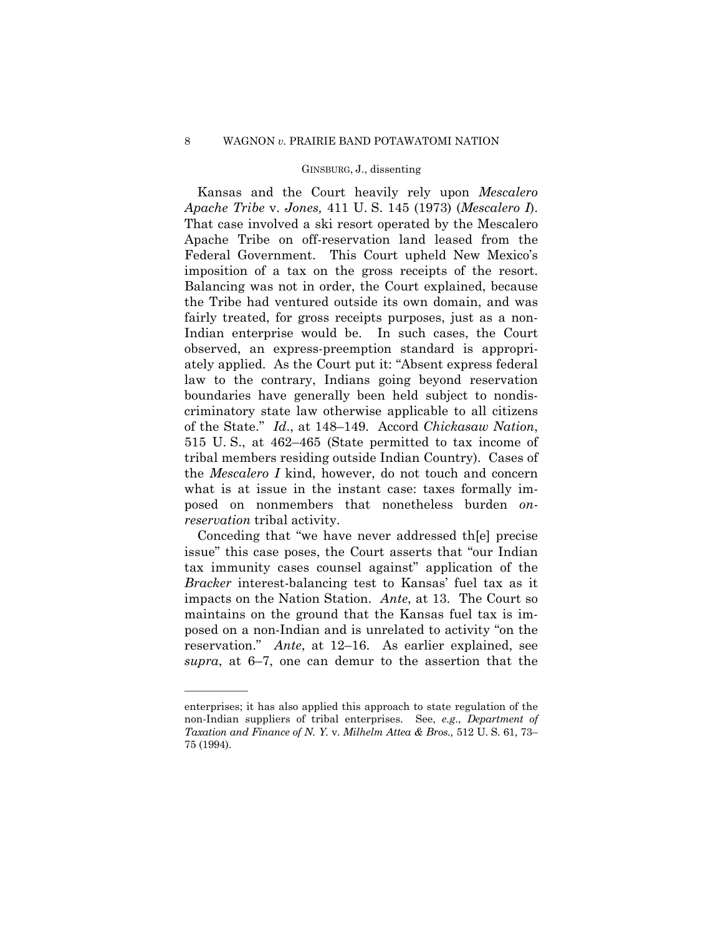Kansas and the Court heavily rely upon *Mescalero Apache Tribe* v. *Jones,* 411 U. S. 145 (1973) (*Mescalero I*). That case involved a ski resort operated by the Mescalero Apache Tribe on off-reservation land leased from the Federal Government. This Court upheld New Mexico's imposition of a tax on the gross receipts of the resort. Balancing was not in order, the Court explained, because the Tribe had ventured outside its own domain, and was fairly treated, for gross receipts purposes, just as a non-Indian enterprise would be. In such cases, the Court observed, an express-preemption standard is appropriately applied. As the Court put it: "Absent express federal law to the contrary, Indians going beyond reservation boundaries have generally been held subject to nondiscriminatory state law otherwise applicable to all citizens of the State." *Id*., at 148–149. Accord *Chickasaw Nation*, 515 U. S., at 462–465 (State permitted to tax income of tribal members residing outside Indian Country). Cases of the *Mescalero I* kind, however, do not touch and concern what is at issue in the instant case: taxes formally imposed on nonmembers that nonetheless burden *onreservation* tribal activity.

Conceding that "we have never addressed th[e] precise issue" this case poses, the Court asserts that "our Indian tax immunity cases counsel against" application of the *Bracker* interest-balancing test to Kansas' fuel tax as it impacts on the Nation Station. *Ante*, at 13. The Court so maintains on the ground that the Kansas fuel tax is imposed on a non-Indian and is unrelated to activity "on the reservation." *Ante*, at 12–16. As earlier explained, see *supra*, at 6–7, one can demur to the assertion that the

enterprises; it has also applied this approach to state regulation of the non-Indian suppliers of tribal enterprises. See, *e.g*., *Department of Taxation and Finance of N. Y.* v. *Milhelm Attea & Bros.,* 512 U. S. 61, 73– 75 (1994).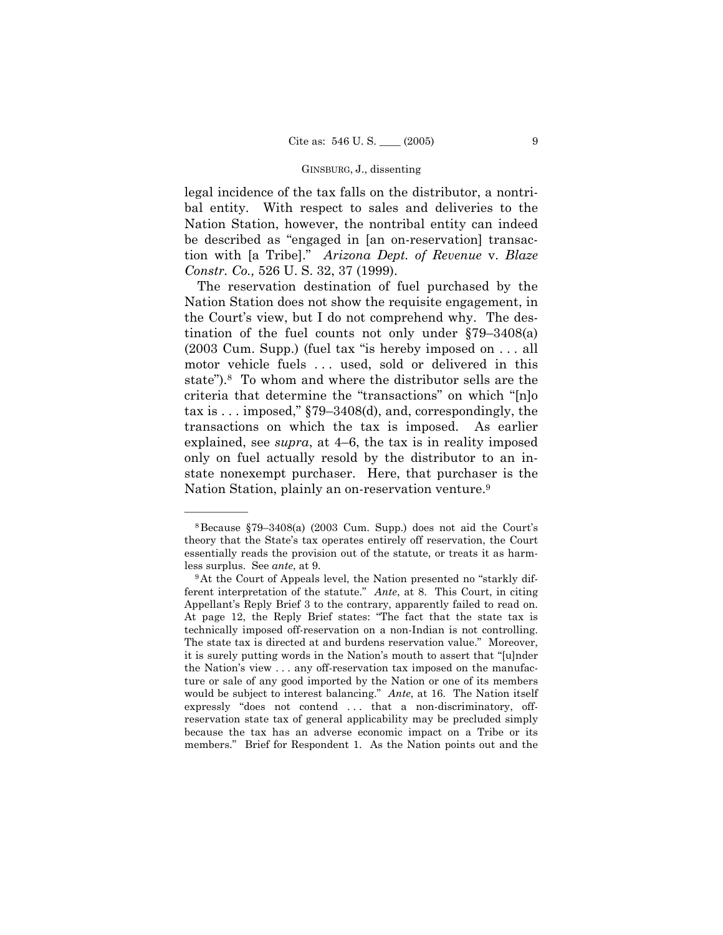legal incidence of the tax falls on the distributor, a nontribal entity. With respect to sales and deliveries to the Nation Station, however, the nontribal entity can indeed be described as "engaged in [an on-reservation] transaction with [a Tribe]." *Arizona Dept. of Revenue* v. *Blaze Constr. Co.,* 526 U. S. 32, 37 (1999).

The reservation destination of fuel purchased by the Nation Station does not show the requisite engagement, in the Court's view, but I do not comprehend why. The destination of the fuel counts not only under §79–3408(a) (2003 Cum. Supp.) (fuel tax "is hereby imposed on . . . all motor vehicle fuels ... used, sold or delivered in this state").8 To whom and where the distributor sells are the criteria that determine the "transactions" on which "[n]o tax is . . . imposed," §79–3408(d), and, correspondingly, the transactions on which the tax is imposed. As earlier explained, see *supra*, at 4–6, the tax is in reality imposed only on fuel actually resold by the distributor to an instate nonexempt purchaser. Here, that purchaser is the Nation Station, plainly an on-reservation venture.9

<sup>8</sup>Because §79–3408(a) (2003 Cum. Supp.) does not aid the Court's theory that the State's tax operates entirely off reservation, the Court essentially reads the provision out of the statute, or treats it as harm-

less surplus. See *ante*, at 9.<br><sup>9</sup>At the Court of Appeals level, the Nation presented no "starkly different interpretation of the statute." *Ante*, at 8. This Court, in citing Appellant's Reply Brief 3 to the contrary, apparently failed to read on. At page 12, the Reply Brief states: "The fact that the state tax is technically imposed off-reservation on a non-Indian is not controlling. The state tax is directed at and burdens reservation value." Moreover, it is surely putting words in the Nation's mouth to assert that "[u]nder the Nation's view . . . any off-reservation tax imposed on the manufacture or sale of any good imported by the Nation or one of its members would be subject to interest balancing." *Ante*, at 16. The Nation itself expressly "does not contend . . . that a non-discriminatory, offreservation state tax of general applicability may be precluded simply because the tax has an adverse economic impact on a Tribe or its members." Brief for Respondent 1. As the Nation points out and the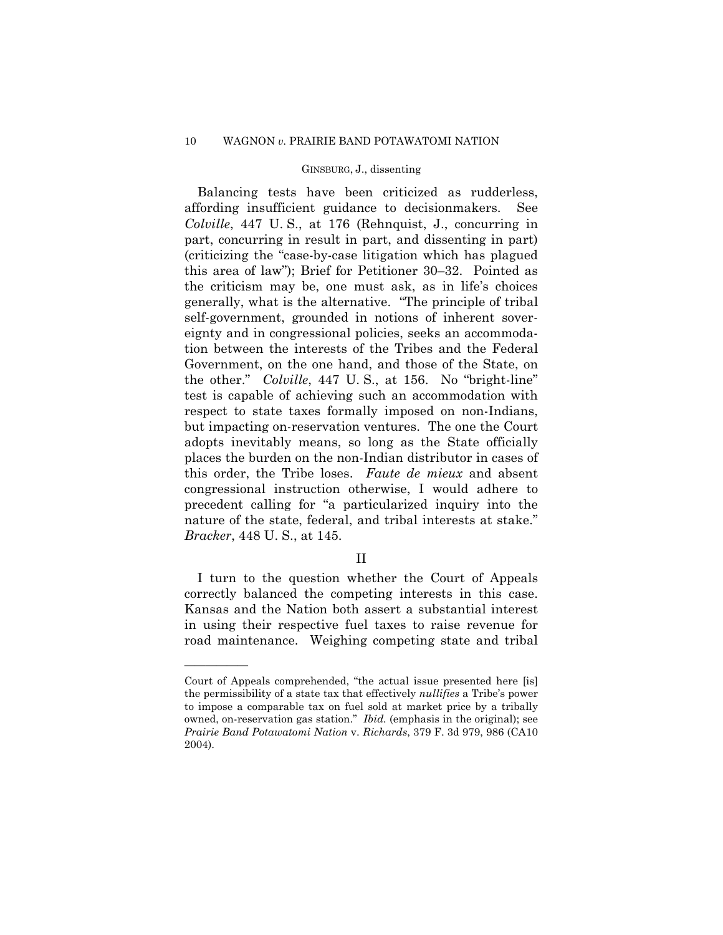# 10 WAGNON *v.* PRAIRIE BAND POTAWATOMI NATION

# GINSBURG, J., dissenting

Balancing tests have been criticized as rudderless, affording insufficient guidance to decisionmakers. See *Colville*, 447 U. S., at 176 (Rehnquist, J., concurring in part, concurring in result in part, and dissenting in part) (criticizing the "case-by-case litigation which has plagued this area of law"); Brief for Petitioner 30–32. Pointed as the criticism may be, one must ask, as in life's choices generally, what is the alternative. "The principle of tribal self-government, grounded in notions of inherent sovereignty and in congressional policies, seeks an accommodation between the interests of the Tribes and the Federal Government, on the one hand, and those of the State, on the other." *Colville*, 447 U. S., at 156. No "bright-line" test is capable of achieving such an accommodation with respect to state taxes formally imposed on non-Indians, but impacting on-reservation ventures. The one the Court adopts inevitably means, so long as the State officially places the burden on the non-Indian distributor in cases of this order, the Tribe loses. *Faute de mieux* and absent congressional instruction otherwise, I would adhere to precedent calling for "a particularized inquiry into the nature of the state, federal, and tribal interests at stake." *Bracker*, 448 U. S., at 145.

# II

I turn to the question whether the Court of Appeals correctly balanced the competing interests in this case. Kansas and the Nation both assert a substantial interest in using their respective fuel taxes to raise revenue for road maintenance. Weighing competing state and tribal

Court of Appeals comprehended, "the actual issue presented here [is] the permissibility of a state tax that effectively *nullifies* a Tribe's power to impose a comparable tax on fuel sold at market price by a tribally owned, on-reservation gas station." *Ibid.* (emphasis in the original); see *Prairie Band Potawatomi Nation* v. *Richards*, 379 F. 3d 979, 986 (CA10 2004).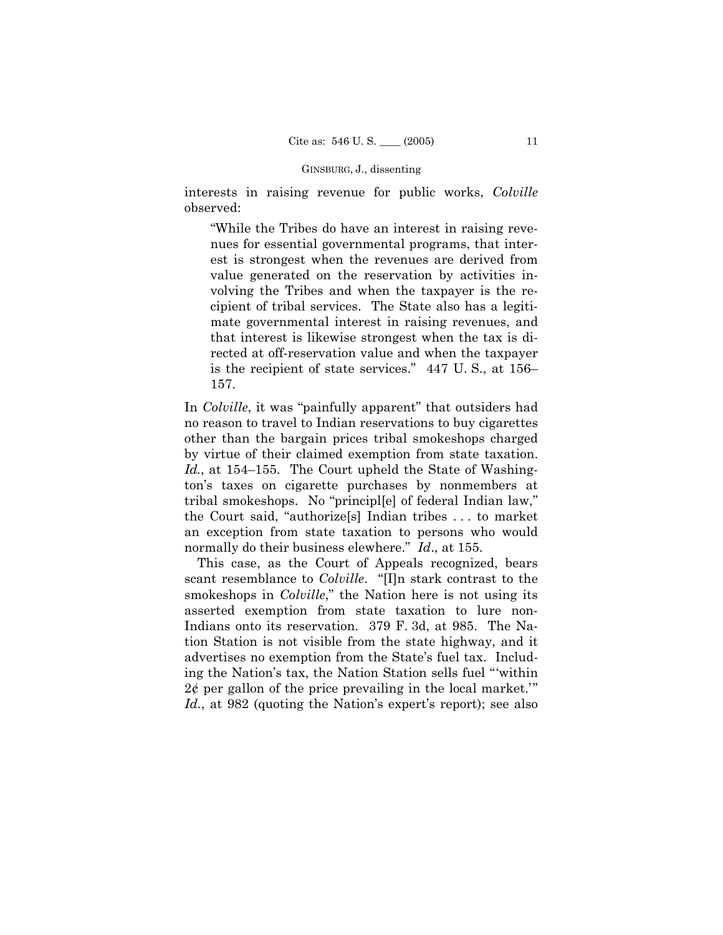interests in raising revenue for public works, *Colville*  observed:

"While the Tribes do have an interest in raising revenues for essential governmental programs, that interest is strongest when the revenues are derived from value generated on the reservation by activities involving the Tribes and when the taxpayer is the recipient of tribal services. The State also has a legitimate governmental interest in raising revenues, and that interest is likewise strongest when the tax is directed at off-reservation value and when the taxpayer is the recipient of state services." 447 U. S., at 156– 157.

In *Colville*, it was "painfully apparent" that outsiders had no reason to travel to Indian reservations to buy cigarettes other than the bargain prices tribal smokeshops charged by virtue of their claimed exemption from state taxation. *Id.*, at 154–155. The Court upheld the State of Washington's taxes on cigarette purchases by nonmembers at tribal smokeshops. No "principl[e] of federal Indian law," the Court said, "authorize[s] Indian tribes . . . to market an exception from state taxation to persons who would normally do their business elewhere." *Id*., at 155.

This case, as the Court of Appeals recognized, bears scant resemblance to *Colville*. "[I]n stark contrast to the smokeshops in *Colville*," the Nation here is not using its asserted exemption from state taxation to lure non-Indians onto its reservation. 379 F. 3d, at 985. The Nation Station is not visible from the state highway, and it advertises no exemption from the State's fuel tax. Including the Nation's tax, the Nation Station sells fuel "'within  $2\ell$  per gallon of the price prevailing in the local market." *Id.*, at 982 (quoting the Nation's expert's report); see also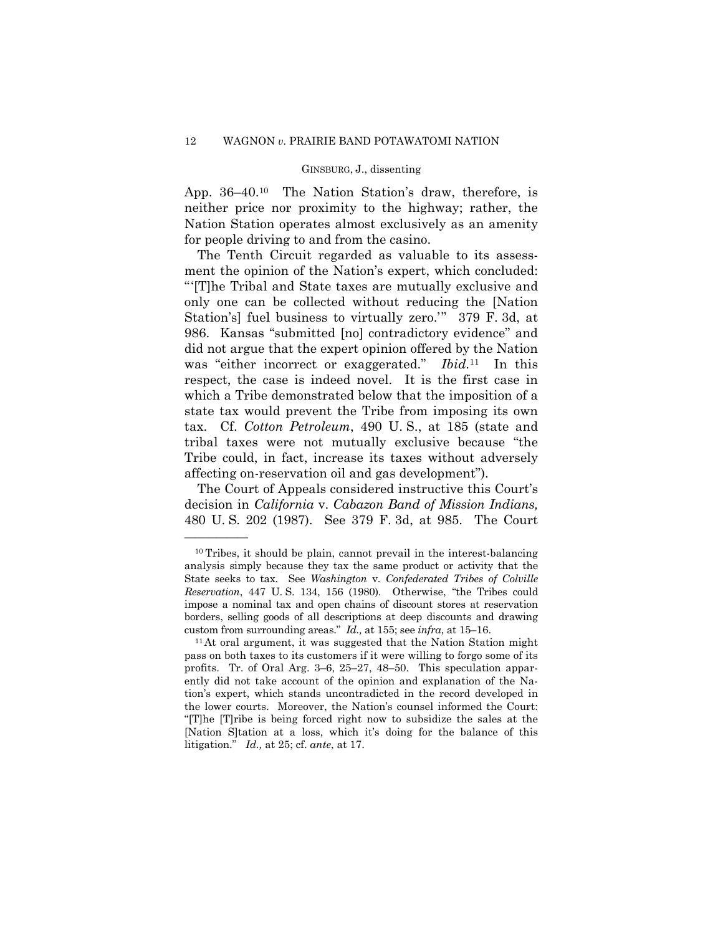App. 36–40.10 The Nation Station's draw, therefore, is neither price nor proximity to the highway; rather, the Nation Station operates almost exclusively as an amenity for people driving to and from the casino.

The Tenth Circuit regarded as valuable to its assessment the opinion of the Nation's expert, which concluded: " '[T]he Tribal and State taxes are mutually exclusive and only one can be collected without reducing the [Nation Station's] fuel business to virtually zero.'" 379 F. 3d, at 986. Kansas "submitted [no] contradictory evidence" and did not argue that the expert opinion offered by the Nation was "either incorrect or exaggerated." *Ibid.*11 In this respect, the case is indeed novel. It is the first case in which a Tribe demonstrated below that the imposition of a state tax would prevent the Tribe from imposing its own tax. Cf. *Cotton Petroleum*, 490 U. S., at 185 (state and tribal taxes were not mutually exclusive because "the Tribe could, in fact, increase its taxes without adversely affecting on-reservation oil and gas development").

The Court of Appeals considered instructive this Court's decision in *California* v. *Cabazon Band of Mission Indians,*  480 U. S. 202 (1987). See 379 F. 3d, at 985. The Court

<sup>10</sup> Tribes, it should be plain, cannot prevail in the interest-balancing analysis simply because they tax the same product or activity that the State seeks to tax. See *Washington* v. *Confederated Tribes of Colville Reservation*, 447 U. S. 134, 156 (1980). Otherwise, "the Tribes could impose a nominal tax and open chains of discount stores at reservation borders, selling goods of all descriptions at deep discounts and drawing

custom from surrounding areas." *Id.*, at 155; see *infra*, at 15–16.<br><sup>11</sup>At oral argument, it was suggested that the Nation Station might pass on both taxes to its customers if it were willing to forgo some of its profits. Tr. of Oral Arg. 3–6, 25–27, 48–50. This speculation apparently did not take account of the opinion and explanation of the Nation's expert, which stands uncontradicted in the record developed in the lower courts. Moreover, the Nation's counsel informed the Court: "[T]he [T]ribe is being forced right now to subsidize the sales at the [Nation S]tation at a loss, which it's doing for the balance of this litigation." *Id.,* at 25; cf. *ante*, at 17.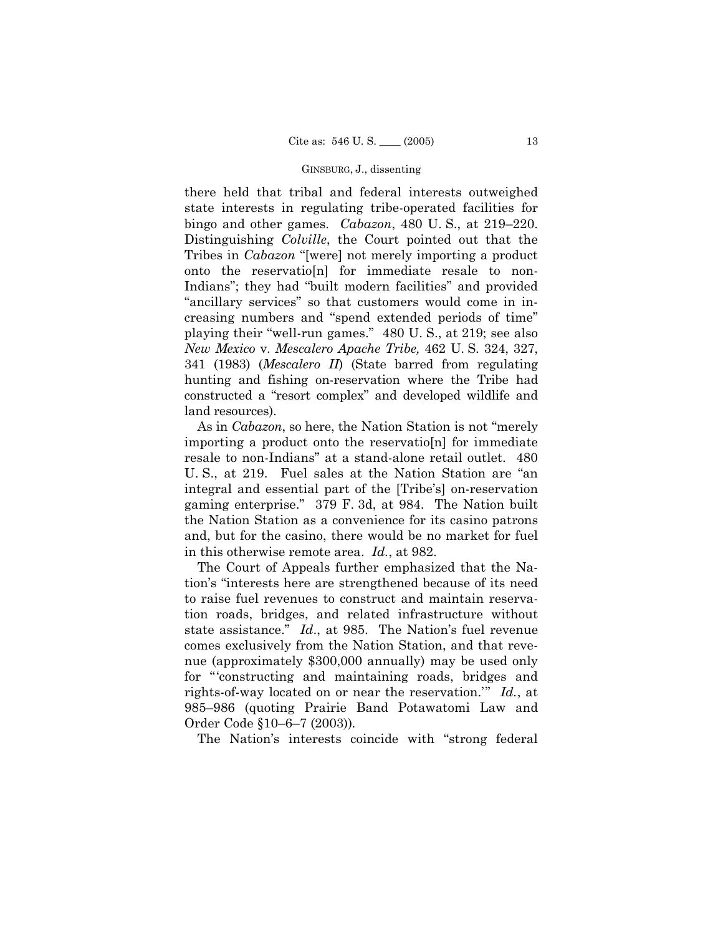there held that tribal and federal interests outweighed state interests in regulating tribe-operated facilities for bingo and other games. *Cabazon*, 480 U. S., at 219–220. Distinguishing *Colville*, the Court pointed out that the Tribes in *Cabazon* "[were] not merely importing a product onto the reservatio[n] for immediate resale to non-Indians"; they had "built modern facilities" and provided "ancillary services" so that customers would come in increasing numbers and "spend extended periods of time" playing their "well-run games." 480 U. S., at 219; see also *New Mexico* v. *Mescalero Apache Tribe,* 462 U. S. 324, 327, 341 (1983) (*Mescalero II*) (State barred from regulating hunting and fishing on-reservation where the Tribe had constructed a "resort complex" and developed wildlife and land resources).

 As in *Cabazon*, so here, the Nation Station is not "merely importing a product onto the reservatio[n] for immediate resale to non-Indians" at a stand-alone retail outlet. 480 U. S., at 219. Fuel sales at the Nation Station are "an integral and essential part of the [Tribe's] on-reservation gaming enterprise." 379 F. 3d, at 984. The Nation built the Nation Station as a convenience for its casino patrons and, but for the casino, there would be no market for fuel in this otherwise remote area. *Id.*, at 982.

The Court of Appeals further emphasized that the Nation's "interests here are strengthened because of its need to raise fuel revenues to construct and maintain reservation roads, bridges, and related infrastructure without state assistance." *Id*., at 985. The Nation's fuel revenue comes exclusively from the Nation Station, and that revenue (approximately \$300,000 annually) may be used only for "constructing and maintaining roads, bridges and rights-of-way located on or near the reservation." *Id.*, at 985–986 (quoting Prairie Band Potawatomi Law and Order Code §10–6–7 (2003))*.* 

The Nation's interests coincide with "strong federal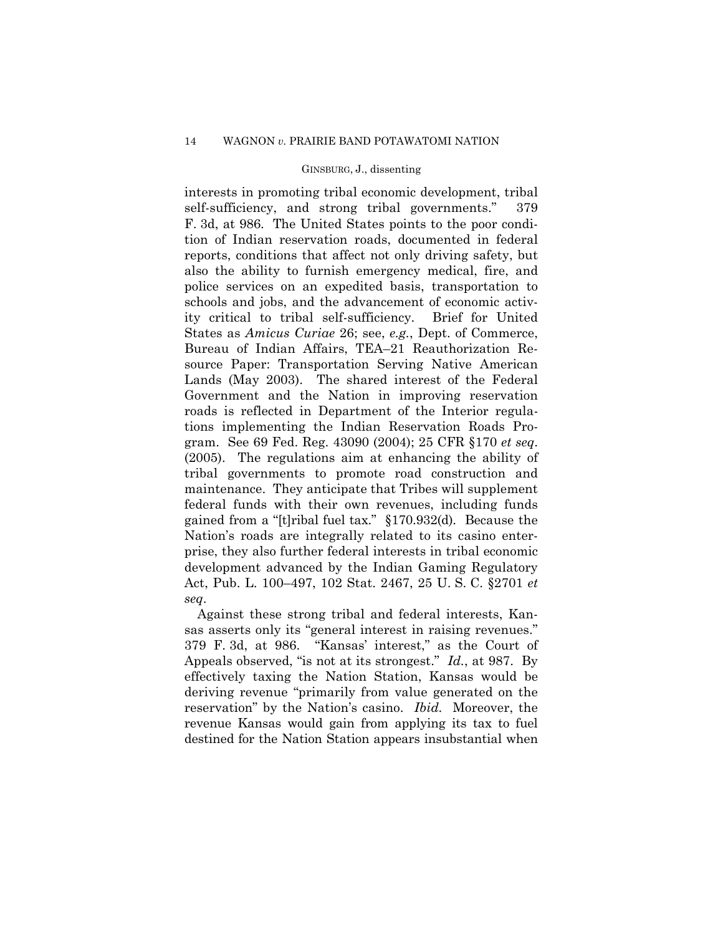interests in promoting tribal economic development, tribal self-sufficiency, and strong tribal governments." 379 F. 3d, at 986. The United States points to the poor condition of Indian reservation roads, documented in federal reports, conditions that affect not only driving safety, but also the ability to furnish emergency medical, fire, and police services on an expedited basis, transportation to schools and jobs, and the advancement of economic activity critical to tribal self-sufficiency. Brief for United States as *Amicus Curiae* 26; see, *e.g.*, Dept. of Commerce, Bureau of Indian Affairs, TEA–21 Reauthorization Resource Paper: Transportation Serving Native American Lands (May 2003). The shared interest of the Federal Government and the Nation in improving reservation roads is reflected in Department of the Interior regulations implementing the Indian Reservation Roads Program. See 69 Fed. Reg. 43090 (2004); 25 CFR §170 *et seq*. (2005). The regulations aim at enhancing the ability of tribal governments to promote road construction and maintenance. They anticipate that Tribes will supplement federal funds with their own revenues, including funds gained from a "[t]ribal fuel tax." §170.932(d). Because the Nation's roads are integrally related to its casino enterprise, they also further federal interests in tribal economic development advanced by the Indian Gaming Regulatory Act, Pub. L. 100–497, 102 Stat. 2467, 25 U. S. C. §2701 *et seq*.

Against these strong tribal and federal interests, Kansas asserts only its "general interest in raising revenues." 379 F. 3d, at 986. "Kansas' interest," as the Court of Appeals observed, "is not at its strongest." *Id.*, at 987. By effectively taxing the Nation Station, Kansas would be deriving revenue "primarily from value generated on the reservation" by the Nation's casino. *Ibid.* Moreover, the revenue Kansas would gain from applying its tax to fuel destined for the Nation Station appears insubstantial when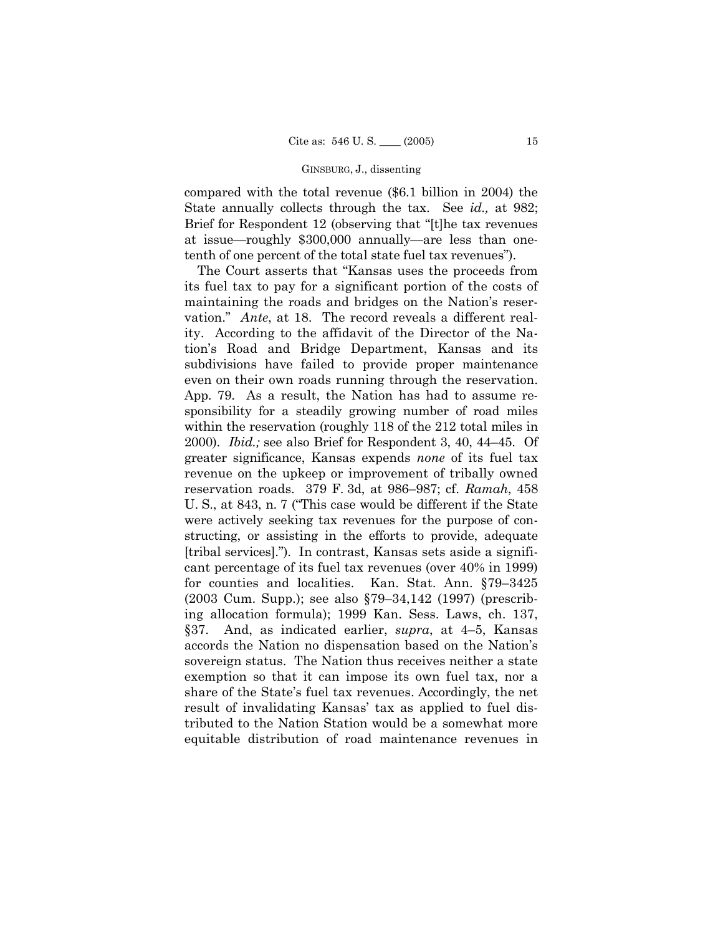compared with the total revenue (\$6.1 billion in 2004) the State annually collects through the tax. See *id.,* at 982; Brief for Respondent 12 (observing that "[t]he tax revenues at issue—roughly \$300,000 annually—are less than onetenth of one percent of the total state fuel tax revenues").

The Court asserts that "Kansas uses the proceeds from its fuel tax to pay for a significant portion of the costs of maintaining the roads and bridges on the Nation's reservation." *Ante*, at 18. The record reveals a different reality. According to the affidavit of the Director of the Nation's Road and Bridge Department, Kansas and its subdivisions have failed to provide proper maintenance even on their own roads running through the reservation. App. 79. As a result, the Nation has had to assume responsibility for a steadily growing number of road miles within the reservation (roughly 118 of the 212 total miles in 2000). *Ibid.;* see also Brief for Respondent 3, 40, 44–45. Of greater significance, Kansas expends *none* of its fuel tax revenue on the upkeep or improvement of tribally owned reservation roads. 379 F. 3d, at 986–987; cf. *Ramah*, 458 U. S., at 843, n. 7 ("This case would be different if the State were actively seeking tax revenues for the purpose of constructing, or assisting in the efforts to provide, adequate [tribal services]."). In contrast, Kansas sets aside a significant percentage of its fuel tax revenues (over 40% in 1999) for counties and localities. Kan. Stat. Ann. §79–3425 (2003 Cum. Supp.); see also §79–34,142 (1997) (prescribing allocation formula); 1999 Kan. Sess. Laws, ch. 137, §37. And, as indicated earlier, *supra*, at 4–5, Kansas accords the Nation no dispensation based on the Nation's sovereign status. The Nation thus receives neither a state exemption so that it can impose its own fuel tax, nor a share of the State's fuel tax revenues. Accordingly, the net result of invalidating Kansas' tax as applied to fuel distributed to the Nation Station would be a somewhat more equitable distribution of road maintenance revenues in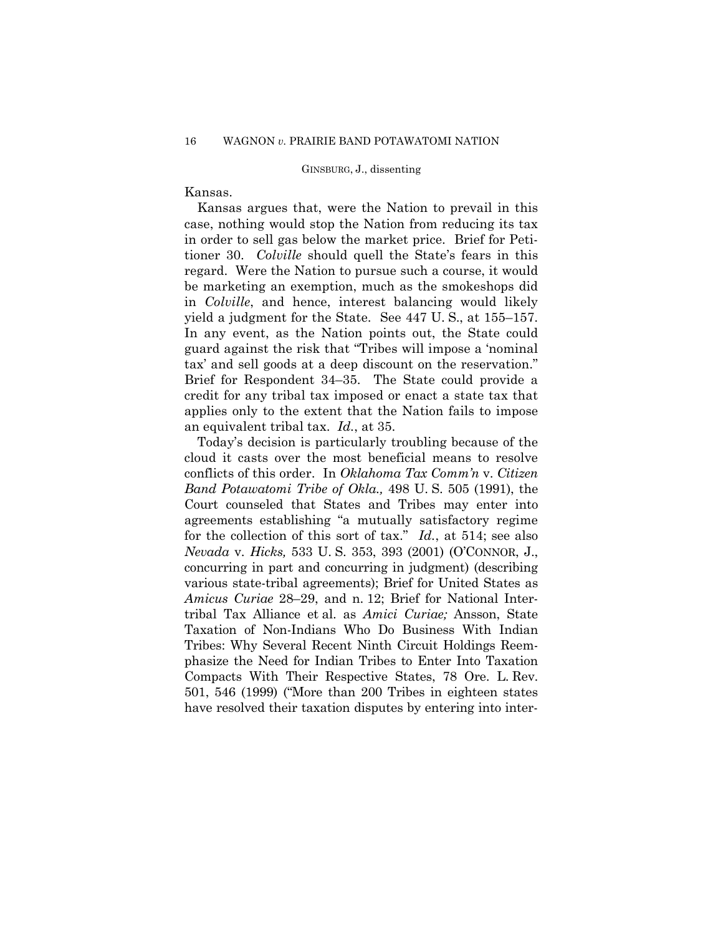# Kansas.

Kansas argues that, were the Nation to prevail in this case, nothing would stop the Nation from reducing its tax in order to sell gas below the market price. Brief for Petitioner 30. *Colville* should quell the State's fears in this regard. Were the Nation to pursue such a course, it would be marketing an exemption, much as the smokeshops did in *Colville*, and hence, interest balancing would likely yield a judgment for the State. See 447 U. S., at 155–157. In any event, as the Nation points out, the State could guard against the risk that "Tribes will impose a 'nominal tax' and sell goods at a deep discount on the reservation." Brief for Respondent 34–35. The State could provide a credit for any tribal tax imposed or enact a state tax that applies only to the extent that the Nation fails to impose an equivalent tribal tax. *Id.*, at 35.

Today's decision is particularly troubling because of the cloud it casts over the most beneficial means to resolve conflicts of this order. In *Oklahoma Tax Comm'n* v. *Citizen Band Potawatomi Tribe of Okla.,* 498 U. S. 505 (1991), the Court counseled that States and Tribes may enter into agreements establishing "a mutually satisfactory regime for the collection of this sort of tax." *Id.*, at 514; see also *Nevada* v. *Hicks,* 533 U. S. 353, 393 (2001) (O'CONNOR, J., concurring in part and concurring in judgment) (describing various state-tribal agreements); Brief for United States as *Amicus Curiae* 28–29, and n. 12; Brief for National Intertribal Tax Alliance et al. as *Amici Curiae;* Ansson, State Taxation of Non-Indians Who Do Business With Indian Tribes: Why Several Recent Ninth Circuit Holdings Reemphasize the Need for Indian Tribes to Enter Into Taxation Compacts With Their Respective States, 78 Ore. L. Rev. 501, 546 (1999) ("More than 200 Tribes in eighteen states have resolved their taxation disputes by entering into inter-